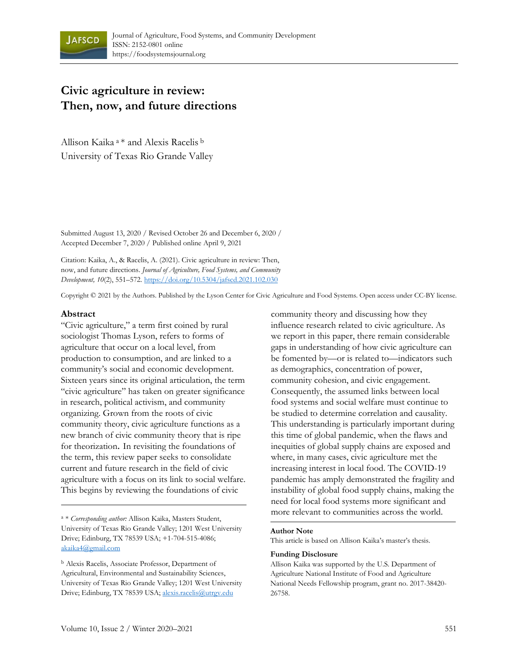

# **Civic agriculture in review: Then, now, and future directions**

Allison Kaika <sup>a</sup>\* and Alexis Racelis <sup>b</sup> University of Texas Rio Grande Valley

Submitted August 13, 2020 / Revised October 26 and December 6, 2020 / Accepted December 7, 2020 / Published online April 9, 2021

Citation: Kaika, A., & Racelis, A. (2021). Civic agriculture in review: Then, now, and future directions. *Journal of Agriculture, Food Systems, and Community Development, 10*(2), 551–572. [https://doi.org/10.5304/jafscd.2021.102.030](https://doi.org/10.5304/jafscd.2021.102.031)

Copyright © 2021 by the Authors. Published by the Lyson Center for Civic Agriculture and Food Systems. Open access under CC-BY license.

#### **Abstract**

"Civic agriculture," a term first coined by rural sociologist Thomas Lyson, refers to forms of agriculture that occur on a local level, from production to consumption, and are linked to a community's social and economic development. Sixteen years since its original articulation, the term "civic agriculture" has taken on greater significance in research, political activism, and community organizing. Grown from the roots of civic community theory, civic agriculture functions as a new branch of civic community theory that is ripe for theorization. In revisiting the foundations of the term, this review paper seeks to consolidate current and future research in the field of civic agriculture with a focus on its link to social welfare. This begins by reviewing the foundations of civic

<sup>a</sup> \* *Corresponding author:* Allison Kaika, Masters Student, University of Texas Rio Grande Valley; 1201 West University Drive; Edinburg, TX 78539 USA; +1-704-515-4086; [akaika4@gmail.com](mailto:akaika4@gmail.com)

<sup>b</sup> Alexis Racelis, Associate Professor, Department of Agricultural, Environmental and Sustainability Sciences, University of Texas Rio Grande Valley; 1201 West University Drive; Edi[nburg, TX](mailto:alexis.racelis@utrgv.edu) 78539 USA; alexis.racelis@utrgv.edu

community theory and discussing how they influence research related to civic agriculture. As we report in this paper, there remain considerable gaps in understanding of how civic agriculture can be fomented by—or is related to—indicators such as demographics, concentration of power, community cohesion, and civic engagement. Consequently, the assumed links between local food systems and social welfare must continue to be studied to determine correlation and causality. This understanding is particularly important during this time of global pandemic, when the flaws and inequities of global supply chains are exposed and where, in many cases, civic agriculture met the increasing interest in local food. The COVID-19 pandemic has amply demonstrated the fragility and instability of global food supply chains, making the need for local food systems more significant and more relevant to communities across the world.

#### **Author Note**

This article is based on Allison Kaika's master's thesis.

#### **Funding Disclosure**

Allison Kaika was supported by the U.S. Department of Agriculture National Institute of Food and Agriculture National Needs Fellowship program, grant no. 2017-38420- 26758.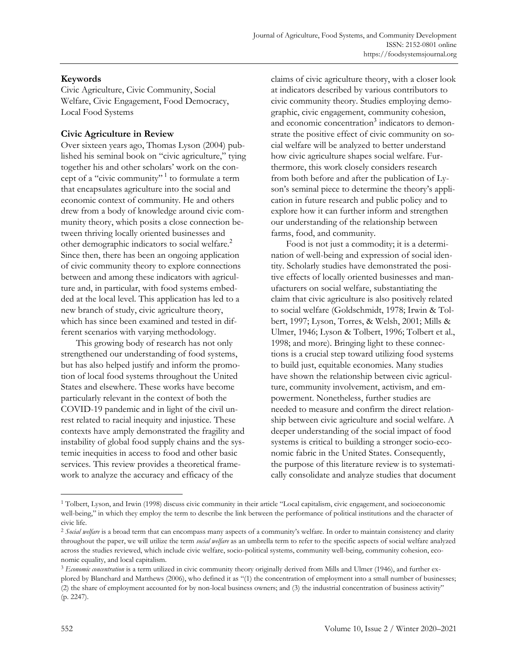# **Keywords**

Civic Agriculture, Civic Community, Social Welfare, Civic Engagement, Food Democracy, Local Food Systems

## **Civic Agriculture in Review**

Over sixteen years ago, Thomas Lyson (2004) published his seminal book on "civic agriculture," tying together his and other scholars' work on the concept of a "civic community" 1 to formulate a term that encapsulates agriculture into the social and economic context of community. He and others drew from a body of knowledge around civic community theory, which posits a close connection between thriving locally oriented businesses and other demographic indicators to social welfare.<sup>2</sup> Since then, there has been an ongoing application of civic community theory to explore connections between and among these indicators with agriculture and, in particular, with food systems embedded at the local level. This application has led to a new branch of study, civic agriculture theory, which has since been examined and tested in different scenarios with varying methodology.

This growing body of research has not only strengthened our understanding of food systems, but has also helped justify and inform the promotion of local food systems throughout the United States and elsewhere. These works have become particularly relevant in the context of both the COVID-19 pandemic and in light of the civil unrest related to racial inequity and injustice. These contexts have amply demonstrated the fragility and instability of global food supply chains and the systemic inequities in access to food and other basic services. This review provides a theoretical framework to analyze the accuracy and efficacy of the

claims of civic agriculture theory, with a closer look at indicators described by various contributors to civic community theory. Studies employing demographic, civic engagement, community cohesion, and economic concentration<sup>3</sup> indicators to demonstrate the positive effect of civic community on social welfare will be analyzed to better understand how civic agriculture shapes social welfare. Furthermore, this work closely considers research from both before and after the publication of Lyson's seminal piece to determine the theory's application in future research and public policy and to explore how it can further inform and strengthen our understanding of the relationship between farms, food, and community.

Food is not just a commodity; it is a determination of well-being and expression of social identity. Scholarly studies have demonstrated the positive effects of locally oriented businesses and manufacturers on social welfare, substantiating the claim that civic agriculture is also positively related to social welfare (Goldschmidt, 1978; Irwin & Tolbert, 1997; Lyson, Torres, & Welsh, 2001; Mills & Ulmer, 1946; Lyson & Tolbert, 1996; Tolbert et al., 1998; and more). Bringing light to these connections is a crucial step toward utilizing food systems to build just, equitable economies. Many studies have shown the relationship between civic agriculture, community involvement, activism, and empowerment. Nonetheless, further studies are needed to measure and confirm the direct relationship between civic agriculture and social welfare. A deeper understanding of the social impact of food systems is critical to building a stronger socio-economic fabric in the United States. Consequently, the purpose of this literature review is to systematically consolidate and analyze studies that document

<sup>1</sup> Tolbert, Lyson, and Irwin (1998) discuss civic community in their article "Local capitalism, civic engagement, and socioeconomic well-being," in which they employ the term to describe the link between the performance of political institutions and the character of civic life.

<sup>&</sup>lt;sup>2</sup> Social welfare is a broad term that can encompass many aspects of a community's welfare. In order to maintain consistency and clarity throughout the paper, we will utilize the term *social welfare* as an umbrella term to refer to the specific aspects of social welfare analyzed across the studies reviewed, which include civic welfare, socio-political systems, community well-being, community cohesion, economic equality, and local capitalism.

<sup>3</sup> *Economic concentration* is a term utilized in civic community theory originally derived from Mills and Ulmer (1946), and further explored by Blanchard and Matthews (2006), who defined it as "(1) the concentration of employment into a small number of businesses; (2) the share of employment accounted for by non-local business owners; and (3) the industrial concentration of business activity" (p. 2247).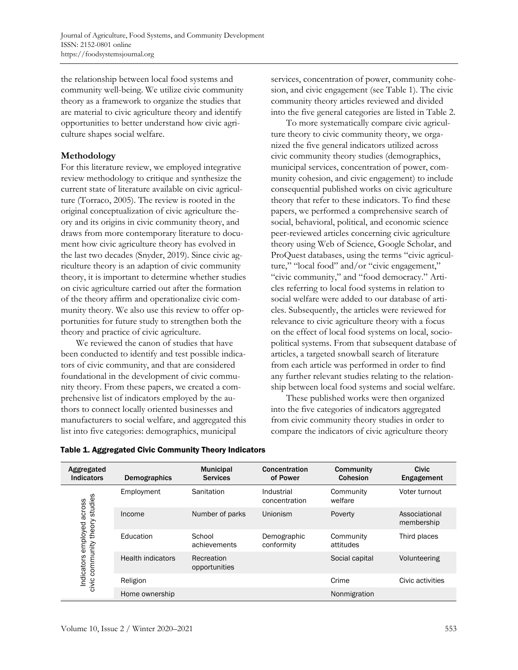the relationship between local food systems and community well-being. We utilize civic community theory as a framework to organize the studies that are material to civic agriculture theory and identify opportunities to better understand how civic agriculture shapes social welfare.

## **Methodology**

For this literature review, we employed integrative review methodology to critique and synthesize the current state of literature available on civic agriculture (Torraco, 2005). The review is rooted in the original conceptualization of civic agriculture theory and its origins in civic community theory, and draws from more contemporary literature to document how civic agriculture theory has evolved in the last two decades (Snyder, 2019). Since civic agriculture theory is an adaption of civic community theory, it is important to determine whether studies on civic agriculture carried out after the formation of the theory affirm and operationalize civic community theory. We also use this review to offer opportunities for future study to strengthen both the theory and practice of civic agriculture.

We reviewed the canon of studies that have been conducted to identify and test possible indicators of civic community, and that are considered foundational in the development of civic community theory. From these papers, we created a comprehensive list of indicators employed by the authors to connect locally oriented businesses and manufacturers to social welfare, and aggregated this list into five categories: demographics, municipal

services, concentration of power, community cohesion, and civic engagement (see Table 1). The civic community theory articles reviewed and divided into the five general categories are listed in Table 2.

To more systematically compare civic agriculture theory to civic community theory, we organized the five general indicators utilized across civic community theory studies (demographics, municipal services, concentration of power, community cohesion, and civic engagement) to include consequential published works on civic agriculture theory that refer to these indicators. To find these papers, we performed a comprehensive search of social, behavioral, political, and economic science peer-reviewed articles concerning civic agriculture theory using Web of Science, Google Scholar, and ProQuest databases, using the terms "civic agriculture," "local food" and/or "civic engagement," "civic community," and "food democracy." Articles referring to local food systems in relation to social welfare were added to our database of articles. Subsequently, the articles were reviewed for relevance to civic agriculture theory with a focus on the effect of local food systems on local, sociopolitical systems. From that subsequent database of articles, a targeted snowball search of literature from each article was performed in order to find any further relevant studies relating to the relationship between local food systems and social welfare.

These published works were then organized into the five categories of indicators aggregated from civic community theory studies in order to compare the indicators of civic agriculture theory

| Aggregated<br><b>Indicators</b>                                          | Demographics             | <b>Municipal</b><br><b>Services</b> | Concentration<br>of Power   | Community<br>Cohesion  | <b>Civic</b><br>Engagement  |
|--------------------------------------------------------------------------|--------------------------|-------------------------------------|-----------------------------|------------------------|-----------------------------|
| studies<br>across<br>theory<br>Indicators employed<br>community<br>civic | Employment               | Sanitation                          | Industrial<br>concentration | Community<br>welfare   | Voter turnout               |
|                                                                          | Income                   | Number of parks                     | Unionism                    | Poverty                | Associational<br>membership |
|                                                                          | Education                | School<br>achievements              | Demographic<br>conformity   | Community<br>attitudes | Third places                |
|                                                                          | <b>Health indicators</b> | Recreation<br>opportunities         |                             | Social capital         | Volunteering                |
|                                                                          | Religion                 |                                     |                             | Crime                  | Civic activities            |
|                                                                          | Home ownership           |                                     |                             | Nonmigration           |                             |

Table 1. Aggregated Civic Community Theory Indicators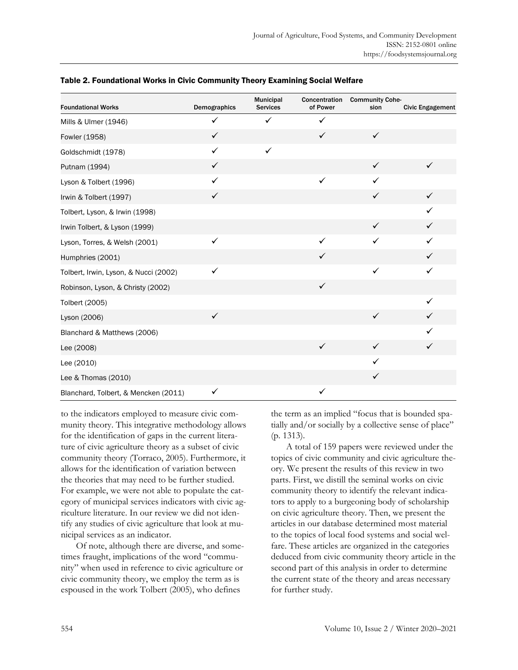| <b>Foundational Works</b>             | Demographics | Municipal<br><b>Services</b> | Concentration<br>of Power | <b>Community Cohe-</b><br>sion | <b>Civic Engagement</b> |
|---------------------------------------|--------------|------------------------------|---------------------------|--------------------------------|-------------------------|
| Mills & Ulmer (1946)                  | $\checkmark$ | $\checkmark$                 | $\checkmark$              |                                |                         |
| Fowler (1958)                         | $\checkmark$ |                              | $\checkmark$              | $\checkmark$                   |                         |
| Goldschmidt (1978)                    | $\checkmark$ | ✓                            |                           |                                |                         |
| Putnam (1994)                         | $\checkmark$ |                              |                           | $\checkmark$                   | $\checkmark$            |
| Lyson & Tolbert (1996)                | ✓            |                              | ✓                         | ✓                              |                         |
| Irwin & Tolbert (1997)                | $\checkmark$ |                              |                           | $\checkmark$                   | ✓                       |
| Tolbert, Lyson, & Irwin (1998)        |              |                              |                           |                                | ✓                       |
| Irwin Tolbert, & Lyson (1999)         |              |                              |                           | $\checkmark$                   | ✓                       |
| Lyson, Torres, & Welsh (2001)         | $\checkmark$ |                              | $\checkmark$              | $\checkmark$                   | ✓                       |
| Humphries (2001)                      |              |                              | $\checkmark$              |                                | ✓                       |
| Tolbert, Irwin, Lyson, & Nucci (2002) | ✓            |                              |                           | ✓                              | ✓                       |
| Robinson, Lyson, & Christy (2002)     |              |                              | $\checkmark$              |                                |                         |
| Tolbert (2005)                        |              |                              |                           |                                | ✓                       |
| Lyson (2006)                          | $\checkmark$ |                              |                           | $\checkmark$                   | ✓                       |
| Blanchard & Matthews (2006)           |              |                              |                           |                                | ✓                       |
| Lee (2008)                            |              |                              | $\checkmark$              | $\checkmark$                   | ✓                       |
| Lee (2010)                            |              |                              |                           | ✓                              |                         |
| Lee & Thomas (2010)                   |              |                              |                           | $\checkmark$                   |                         |
| Blanchard, Tolbert, & Mencken (2011)  | $\checkmark$ |                              | $\checkmark$              |                                |                         |

#### Table 2. Foundational Works in Civic Community Theory Examining Social Welfare

to the indicators employed to measure civic community theory. This integrative methodology allows for the identification of gaps in the current literature of civic agriculture theory as a subset of civic community theory (Torraco, 2005). Furthermore, it allows for the identification of variation between the theories that may need to be further studied. For example, we were not able to populate the category of municipal services indicators with civic agriculture literature. In our review we did not identify any studies of civic agriculture that look at municipal services as an indicator.

Of note, although there are diverse, and sometimes fraught, implications of the word "community" when used in reference to civic agriculture or civic community theory, we employ the term as is espoused in the work Tolbert (2005), who defines

the term as an implied "focus that is bounded spatially and/or socially by a collective sense of place" (p. 1313).

A total of 159 papers were reviewed under the topics of civic community and civic agriculture theory. We present the results of this review in two parts. First, we distill the seminal works on civic community theory to identify the relevant indicators to apply to a burgeoning body of scholarship on civic agriculture theory. Then, we present the articles in our database determined most material to the topics of local food systems and social welfare. These articles are organized in the categories deduced from civic community theory article in the second part of this analysis in order to determine the current state of the theory and areas necessary for further study.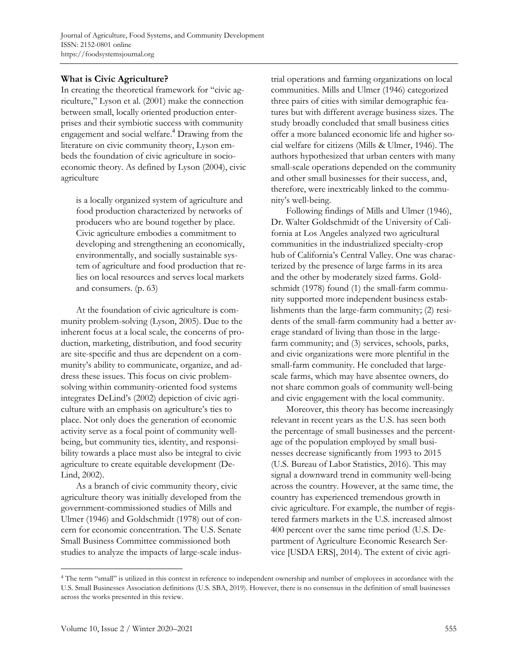# **What is Civic Agriculture?**

In creating the theoretical framework for "civic agriculture," Lyson et al. (2001) make the connection between small, locally oriented production enterprises and their symbiotic success with community engagement and social welfare.<sup>4</sup> Drawing from the literature on civic community theory, Lyson embeds the foundation of civic agriculture in socioeconomic theory. As defined by Lyson (2004), civic agriculture

is a locally organized system of agriculture and food production characterized by networks of producers who are bound together by place. Civic agriculture embodies a commitment to developing and strengthening an economically, environmentally, and socially sustainable system of agriculture and food production that relies on local resources and serves local markets and consumers. (p. 63)

At the foundation of civic agriculture is community problem-solving (Lyson, 2005). Due to the inherent focus at a local scale, the concerns of production, marketing, distribution, and food security are site-specific and thus are dependent on a community's ability to communicate, organize, and address these issues. This focus on civic problemsolving within community-oriented food systems integrates DeLind's (2002) depiction of civic agriculture with an emphasis on agriculture's ties to place. Not only does the generation of economic activity serve as a focal point of community wellbeing, but community ties, identity, and responsibility towards a place must also be integral to civic agriculture to create equitable development (De-Lind, 2002).

As a branch of civic community theory, civic agriculture theory was initially developed from the government-commissioned studies of Mills and Ulmer (1946) and Goldschmidt (1978) out of concern for economic concentration. The U.S. Senate Small Business Committee commissioned both studies to analyze the impacts of large-scale industrial operations and farming organizations on local communities. Mills and Ulmer (1946) categorized three pairs of cities with similar demographic features but with different average business sizes. The study broadly concluded that small business cities offer a more balanced economic life and higher social welfare for citizens (Mills & Ulmer, 1946). The authors hypothesized that urban centers with many small-scale operations depended on the community and other small businesses for their success, and, therefore, were inextricably linked to the community's well-being.

Following findings of Mills and Ulmer (1946), Dr. Walter Goldschmidt of the University of California at Los Angeles analyzed two agricultural communities in the industrialized specialty-crop hub of California's Central Valley. One was characterized by the presence of large farms in its area and the other by moderately sized farms. Goldschmidt (1978) found (1) the small-farm community supported more independent business establishments than the large-farm community; (2) residents of the small-farm community had a better average standard of living than those in the largefarm community; and (3) services, schools, parks, and civic organizations were more plentiful in the small-farm community. He concluded that largescale farms, which may have absentee owners, do not share common goals of community well-being and civic engagement with the local community.

Moreover, this theory has become increasingly relevant in recent years as the U.S. has seen both the percentage of small businesses and the percentage of the population employed by small businesses decrease significantly from 1993 to 2015 (U.S. Bureau of Labor Statistics, 2016). This may signal a downward trend in community well-being across the country. However, at the same time, the country has experienced tremendous growth in civic agriculture. For example, the number of registered farmers markets in the U.S. increased almost 400 percent over the same time period (U.S. Department of Agriculture Economic Research Service [USDA ERS], 2014). The extent of civic agri-

<sup>4</sup> The term "small" is utilized in this context in reference to independent ownership and number of employees in accordance with the U.S. Small Businesses Association definitions (U.S. SBA, 2019). However, there is no consensus in the definition of small businesses across the works presented in this review.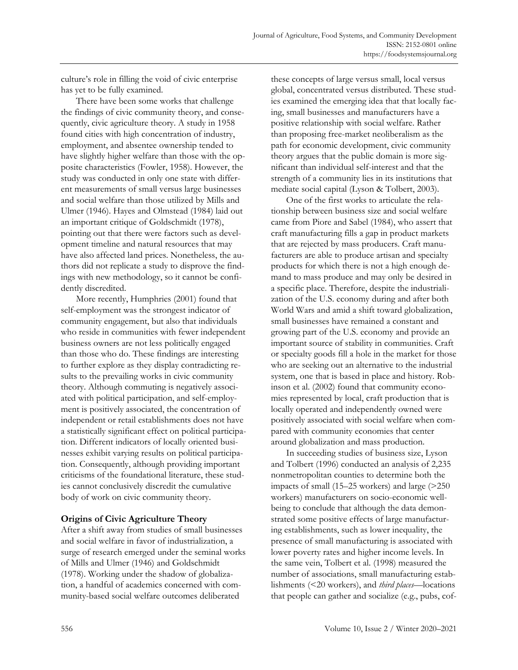culture's role in filling the void of civic enterprise has yet to be fully examined.

There have been some works that challenge the findings of civic community theory, and consequently, civic agriculture theory. A study in 1958 found cities with high concentration of industry, employment, and absentee ownership tended to have slightly higher welfare than those with the opposite characteristics (Fowler, 1958). However, the study was conducted in only one state with different measurements of small versus large businesses and social welfare than those utilized by Mills and Ulmer (1946). Hayes and Olmstead (1984) laid out an important critique of Goldschmidt (1978), pointing out that there were factors such as development timeline and natural resources that may have also affected land prices. Nonetheless, the authors did not replicate a study to disprove the findings with new methodology, so it cannot be confidently discredited.

More recently, Humphries (2001) found that self-employment was the strongest indicator of community engagement, but also that individuals who reside in communities with fewer independent business owners are not less politically engaged than those who do. These findings are interesting to further explore as they display contradicting results to the prevailing works in civic community theory. Although commuting is negatively associated with political participation, and self-employment is positively associated, the concentration of independent or retail establishments does not have a statistically significant effect on political participation. Different indicators of locally oriented businesses exhibit varying results on political participation. Consequently, although providing important criticisms of the foundational literature, these studies cannot conclusively discredit the cumulative body of work on civic community theory.

### **Origins of Civic Agriculture Theory**

After a shift away from studies of small businesses and social welfare in favor of industrialization, a surge of research emerged under the seminal works of Mills and Ulmer (1946) and Goldschmidt (1978). Working under the shadow of globalization, a handful of academics concerned with community-based social welfare outcomes deliberated

these concepts of large versus small, local versus global, concentrated versus distributed. These studies examined the emerging idea that that locally facing, small businesses and manufacturers have a positive relationship with social welfare. Rather than proposing free-market neoliberalism as the path for economic development, civic community theory argues that the public domain is more significant than individual self-interest and that the strength of a community lies in its institutions that mediate social capital (Lyson & Tolbert, 2003).

One of the first works to articulate the relationship between business size and social welfare came from Piore and Sabel (1984), who assert that craft manufacturing fills a gap in product markets that are rejected by mass producers. Craft manufacturers are able to produce artisan and specialty products for which there is not a high enough demand to mass produce and may only be desired in a specific place. Therefore, despite the industrialization of the U.S. economy during and after both World Wars and amid a shift toward globalization, small businesses have remained a constant and growing part of the U.S. economy and provide an important source of stability in communities. Craft or specialty goods fill a hole in the market for those who are seeking out an alternative to the industrial system, one that is based in place and history. Robinson et al. (2002) found that community economies represented by local, craft production that is locally operated and independently owned were positively associated with social welfare when compared with community economies that center around globalization and mass production.

In succeeding studies of business size, Lyson and Tolbert (1996) conducted an analysis of 2,235 nonmetropolitan counties to determine both the impacts of small (15–25 workers) and large (>250 workers) manufacturers on socio-economic wellbeing to conclude that although the data demonstrated some positive effects of large manufacturing establishments, such as lower inequality, the presence of small manufacturing is associated with lower poverty rates and higher income levels. In the same vein, Tolbert et al. (1998) measured the number of associations, small manufacturing establishments (<20 workers), and *third places—*locations that people can gather and socialize (e.g., pubs, cof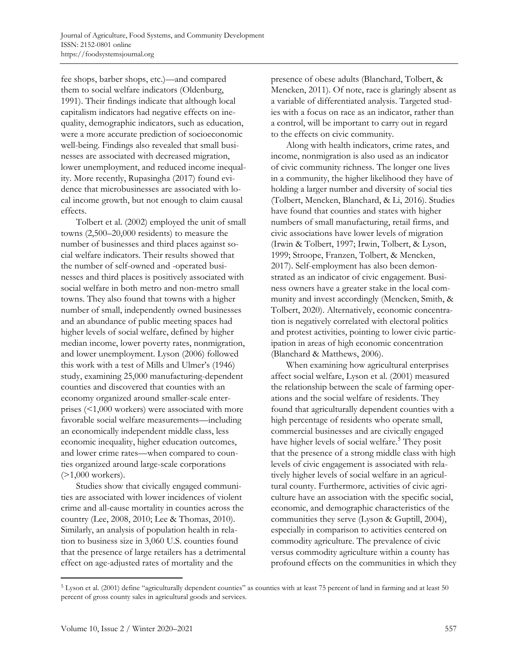fee shops, barber shops, etc.)—and compared them to social welfare indicators (Oldenburg, 1991). Their findings indicate that although local capitalism indicators had negative effects on inequality, demographic indicators, such as education, were a more accurate prediction of socioeconomic well-being. Findings also revealed that small businesses are associated with decreased migration, lower unemployment, and reduced income inequality. More recently, Rupasingha (2017) found evidence that microbusinesses are associated with local income growth, but not enough to claim causal effects.

Tolbert et al. (2002) employed the unit of small towns (2,500–20,000 residents) to measure the number of businesses and third places against social welfare indicators. Their results showed that the number of self-owned and -operated businesses and third places is positively associated with social welfare in both metro and non-metro small towns. They also found that towns with a higher number of small, independently owned businesses and an abundance of public meeting spaces had higher levels of social welfare, defined by higher median income, lower poverty rates, nonmigration, and lower unemployment. Lyson (2006) followed this work with a test of Mills and Ulmer's (1946) study, examining 25,000 manufacturing-dependent counties and discovered that counties with an economy organized around smaller-scale enterprises (<1,000 workers) were associated with more favorable social welfare measurements—including an economically independent middle class, less economic inequality, higher education outcomes, and lower crime rates—when compared to counties organized around large-scale corporations (>1,000 workers).

Studies show that civically engaged communities are associated with lower incidences of violent crime and all-cause mortality in counties across the country (Lee, 2008, 2010; Lee & Thomas, 2010). Similarly, an analysis of population health in relation to business size in 3,060 U.S. counties found that the presence of large retailers has a detrimental effect on age-adjusted rates of mortality and the

presence of obese adults (Blanchard, Tolbert, & Mencken, 2011). Of note, race is glaringly absent as a variable of differentiated analysis. Targeted studies with a focus on race as an indicator, rather than a control, will be important to carry out in regard to the effects on civic community.

Along with health indicators, crime rates, and income, nonmigration is also used as an indicator of civic community richness. The longer one lives in a community, the higher likelihood they have of holding a larger number and diversity of social ties (Tolbert, Mencken, Blanchard, & Li, 2016). Studies have found that counties and states with higher numbers of small manufacturing, retail firms, and civic associations have lower levels of migration (Irwin & Tolbert, 1997; Irwin, Tolbert, & Lyson, 1999; Stroope, Franzen, Tolbert, & Mencken, 2017). Self-employment has also been demonstrated as an indicator of civic engagement. Business owners have a greater stake in the local community and invest accordingly (Mencken, Smith, & Tolbert, 2020). Alternatively, economic concentration is negatively correlated with electoral politics and protest activities, pointing to lower civic participation in areas of high economic concentration (Blanchard & Matthews, 2006).

When examining how agricultural enterprises affect social welfare, Lyson et al. (2001) measured the relationship between the scale of farming operations and the social welfare of residents. They found that agriculturally dependent counties with a high percentage of residents who operate small, commercial businesses and are civically engaged have higher levels of social welfare.<sup>5</sup> They posit that the presence of a strong middle class with high levels of civic engagement is associated with relatively higher levels of social welfare in an agricultural county. Furthermore, activities of civic agriculture have an association with the specific social, economic, and demographic characteristics of the communities they serve (Lyson & Guptill, 2004), especially in comparison to activities centered on commodity agriculture. The prevalence of civic versus commodity agriculture within a county has profound effects on the communities in which they

<sup>&</sup>lt;sup>5</sup> Lyson et al. (2001) define "agriculturally dependent counties" as counties with at least 75 percent of land in farming and at least 50 percent of gross county sales in agricultural goods and services.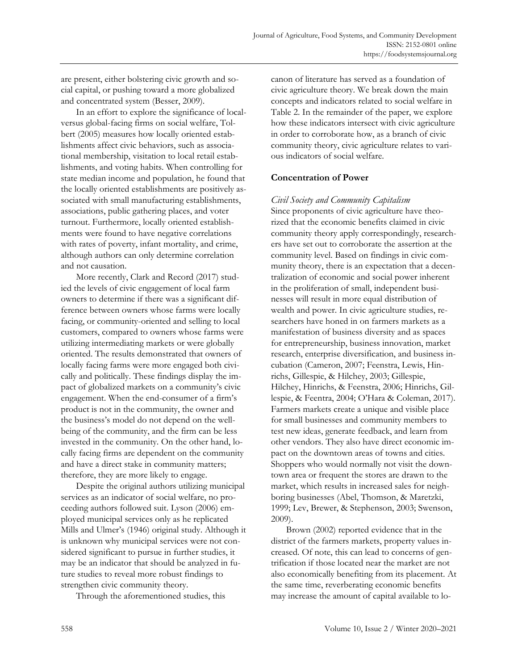are present, either bolstering civic growth and social capital, or pushing toward a more globalized and concentrated system (Besser, 2009).

In an effort to explore the significance of localversus global-facing firms on social welfare, Tolbert (2005) measures how locally oriented establishments affect civic behaviors, such as associational membership, visitation to local retail establishments, and voting habits. When controlling for state median income and population, he found that the locally oriented establishments are positively associated with small manufacturing establishments, associations, public gathering places, and voter turnout. Furthermore, locally oriented establishments were found to have negative correlations with rates of poverty, infant mortality, and crime, although authors can only determine correlation and not causation.

More recently, Clark and Record (2017) studied the levels of civic engagement of local farm owners to determine if there was a significant difference between owners whose farms were locally facing, or community-oriented and selling to local customers, compared to owners whose farms were utilizing intermediating markets or were globally oriented. The results demonstrated that owners of locally facing farms were more engaged both civically and politically. These findings display the impact of globalized markets on a community's civic engagement. When the end-consumer of a firm's product is not in the community, the owner and the business's model do not depend on the wellbeing of the community, and the firm can be less invested in the community. On the other hand, locally facing firms are dependent on the community and have a direct stake in community matters; therefore, they are more likely to engage.

Despite the original authors utilizing municipal services as an indicator of social welfare, no proceeding authors followed suit. Lyson (2006) employed municipal services only as he replicated Mills and Ulmer's (1946) original study. Although it is unknown why municipal services were not considered significant to pursue in further studies, it may be an indicator that should be analyzed in future studies to reveal more robust findings to strengthen civic community theory.

Through the aforementioned studies, this

canon of literature has served as a foundation of civic agriculture theory. We break down the main concepts and indicators related to social welfare in Table 2. In the remainder of the paper, we explore how these indicators intersect with civic agriculture in order to corroborate how, as a branch of civic community theory, civic agriculture relates to various indicators of social welfare.

### **Concentration of Power**

#### *Civil Society and Community Capitalism*

Since proponents of civic agriculture have theorized that the economic benefits claimed in civic community theory apply correspondingly, researchers have set out to corroborate the assertion at the community level. Based on findings in civic community theory, there is an expectation that a decentralization of economic and social power inherent in the proliferation of small, independent businesses will result in more equal distribution of wealth and power. In civic agriculture studies, researchers have honed in on farmers markets as a manifestation of business diversity and as spaces for entrepreneurship, business innovation, market research, enterprise diversification, and business incubation (Cameron, 2007; Feenstra, Lewis, Hinrichs, Gillespie, & Hilchey, 2003; Gillespie, Hilchey, Hinrichs, & Feenstra, 2006; Hinrichs, Gillespie, & Feentra, 2004; O'Hara & Coleman, 2017). Farmers markets create a unique and visible place for small businesses and community members to test new ideas, generate feedback, and learn from other vendors. They also have direct economic impact on the downtown areas of towns and cities. Shoppers who would normally not visit the downtown area or frequent the stores are drawn to the market, which results in increased sales for neighboring businesses (Abel, Thomson, & Maretzki, 1999; Lev, Brewer, & Stephenson, 2003; Swenson, 2009).

Brown (2002) reported evidence that in the district of the farmers markets, property values increased. Of note, this can lead to concerns of gentrification if those located near the market are not also economically benefiting from its placement. At the same time, reverberating economic benefits may increase the amount of capital available to lo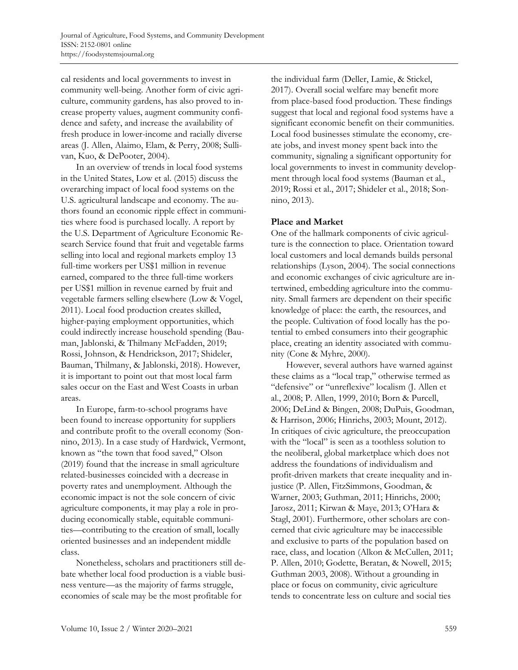cal residents and local governments to invest in community well-being. Another form of civic agriculture, community gardens, has also proved to increase property values, augment community confidence and safety, and increase the availability of fresh produce in lower-income and racially diverse areas (J. Allen, Alaimo, Elam, & Perry, 2008; Sullivan, Kuo, & DePooter, 2004).

In an overview of trends in local food systems in the United States, Low et al. (2015) discuss the overarching impact of local food systems on the U.S. agricultural landscape and economy. The authors found an economic ripple effect in communities where food is purchased locally. A report by the U.S. Department of Agriculture Economic Research Service found that fruit and vegetable farms selling into local and regional markets employ 13 full-time workers per US\$1 million in revenue earned, compared to the three full-time workers per US\$1 million in revenue earned by fruit and vegetable farmers selling elsewhere (Low & Vogel, 2011). Local food production creates skilled, higher-paying employment opportunities, which could indirectly increase household spending (Bauman, Jablonski, & Thilmany McFadden, 2019; Rossi, Johnson, & Hendrickson, 2017; Shideler, Bauman, Thilmany, & Jablonski, 2018). However, it is important to point out that most local farm sales occur on the East and West Coasts in urban areas.

In Europe, farm-to-school programs have been found to increase opportunity for suppliers and contribute profit to the overall economy (Sonnino, 2013). In a case study of Hardwick, Vermont, known as "the town that food saved," Olson (2019) found that the increase in small agriculture related-businesses coincided with a decrease in poverty rates and unemployment. Although the economic impact is not the sole concern of civic agriculture components, it may play a role in producing economically stable, equitable communities—contributing to the creation of small, locally oriented businesses and an independent middle class.

Nonetheless, scholars and practitioners still debate whether local food production is a viable business venture—as the majority of farms struggle, economies of scale may be the most profitable for

the individual farm (Deller, Lamie, & Stickel, 2017). Overall social welfare may benefit more from place-based food production. These findings suggest that local and regional food systems have a significant economic benefit on their communities. Local food businesses stimulate the economy, create jobs, and invest money spent back into the community, signaling a significant opportunity for local governments to invest in community development through local food systems (Bauman et al., 2019; Rossi et al., 2017; Shideler et al., 2018; Sonnino, 2013).

# **Place and Market**

One of the hallmark components of civic agriculture is the connection to place. Orientation toward local customers and local demands builds personal relationships (Lyson, 2004). The social connections and economic exchanges of civic agriculture are intertwined, embedding agriculture into the community. Small farmers are dependent on their specific knowledge of place: the earth, the resources, and the people. Cultivation of food locally has the potential to embed consumers into their geographic place, creating an identity associated with community (Cone & Myhre, 2000).

However, several authors have warned against these claims as a "local trap," otherwise termed as "defensive" or "unreflexive" localism (J. Allen et al., 2008; P. Allen, 1999, 2010; Born & Purcell, 2006; DeLind & Bingen, 2008; DuPuis, Goodman, & Harrison, 2006; Hinrichs, 2003; Mount, 2012). In critiques of civic agriculture, the preoccupation with the "local" is seen as a toothless solution to the neoliberal, global marketplace which does not address the foundations of individualism and profit-driven markets that create inequality and injustice (P. Allen, FitzSimmons, Goodman, & Warner, 2003; Guthman, 2011; Hinrichs, 2000; Jarosz, 2011; Kirwan & Maye, 2013; O'Hara & Stagl, 2001). Furthermore, other scholars are concerned that civic agriculture may be inaccessible and exclusive to parts of the population based on race, class, and location (Alkon & McCullen, 2011; P. Allen, 2010; Godette, Beratan, & Nowell, 2015; Guthman 2003, 2008). Without a grounding in place or focus on community, civic agriculture tends to concentrate less on culture and social ties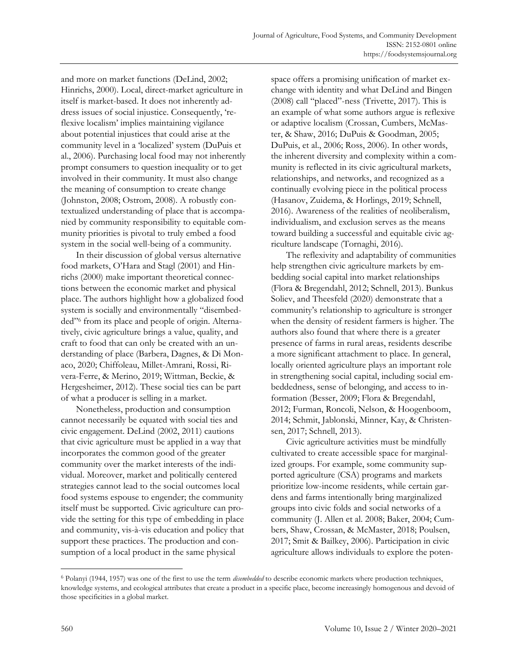and more on market functions (DeLind, 2002; Hinrichs, 2000). Local, direct-market agriculture in itself is market-based. It does not inherently address issues of social injustice. Consequently, 'reflexive localism' implies maintaining vigilance about potential injustices that could arise at the community level in a 'localized' system (DuPuis et al., 2006). Purchasing local food may not inherently prompt consumers to question inequality or to get involved in their community. It must also change the meaning of consumption to create change (Johnston, 2008; Ostrom, 2008). A robustly contextualized understanding of place that is accompanied by community responsibility to equitable community priorities is pivotal to truly embed a food system in the social well-being of a community.

In their discussion of global versus alternative food markets, O'Hara and Stagl (2001) and Hinrichs (2000) make important theoretical connections between the economic market and physical place. The authors highlight how a globalized food system is socially and environmentally "disembedded" <sup>6</sup> from its place and people of origin. Alternatively, civic agriculture brings a value, quality, and craft to food that can only be created with an understanding of place (Barbera, Dagnes, & Di Monaco, 2020; Chiffoleau, Millet-Amrani, Rossi, Rivera-Ferre, & Merino, 2019; Wittman, Beckie, & Hergesheimer, 2012). These social ties can be part of what a producer is selling in a market.

Nonetheless, production and consumption cannot necessarily be equated with social ties and civic engagement. DeLind (2002, 2011) cautions that civic agriculture must be applied in a way that incorporates the common good of the greater community over the market interests of the individual. Moreover, market and politically centered strategies cannot lead to the social outcomes local food systems espouse to engender; the community itself must be supported. Civic agriculture can provide the setting for this type of embedding in place and community, vis-à-vis education and policy that support these practices. The production and consumption of a local product in the same physical

space offers a promising unification of market exchange with identity and what DeLind and Bingen (2008) call "placed"-ness (Trivette, 2017). This is an example of what some authors argue is reflexive or adaptive localism (Crossan, Cumbers, McMaster, & Shaw, 2016; DuPuis & Goodman, 2005; DuPuis, et al., 2006; Ross, 2006). In other words, the inherent diversity and complexity within a community is reflected in its civic agricultural markets, relationships, and networks, and recognized as a continually evolving piece in the political process (Hasanov, Zuidema, & Horlings, 2019; Schnell, 2016). Awareness of the realities of neoliberalism, individualism, and exclusion serves as the means toward building a successful and equitable civic agriculture landscape (Tornaghi, 2016).

The reflexivity and adaptability of communities help strengthen civic agriculture markets by embedding social capital into market relationships (Flora & Bregendahl, 2012; Schnell, 2013). Bunkus Soliev, and Theesfeld (2020) demonstrate that a community's relationship to agriculture is stronger when the density of resident farmers is higher. The authors also found that where there is a greater presence of farms in rural areas, residents describe a more significant attachment to place. In general, locally oriented agriculture plays an important role in strengthening social capital, including social embeddedness, sense of belonging, and access to information (Besser, 2009; Flora & Bregendahl, 2012; Furman, Roncoli, Nelson, & Hoogenboom, 2014; Schmit, Jablonski, Minner, Kay, & Christensen, 2017; Schnell, 2013).

Civic agriculture activities must be mindfully cultivated to create accessible space for marginalized groups. For example, some community supported agriculture (CSA) programs and markets prioritize low-income residents, while certain gardens and farms intentionally bring marginalized groups into civic folds and social networks of a community (J. Allen et al. 2008; Baker, 2004; Cumbers, Shaw, Crossan, & McMaster, 2018; Poulsen, 2017; Smit & Bailkey, 2006). Participation in civic agriculture allows individuals to explore the poten-

<sup>6</sup> Polanyi (1944, 1957) was one of the first to use the term *disembedded* to describe economic markets where production techniques, knowledge systems, and ecological attributes that create a product in a specific place, become increasingly homogenous and devoid of those specificities in a global market.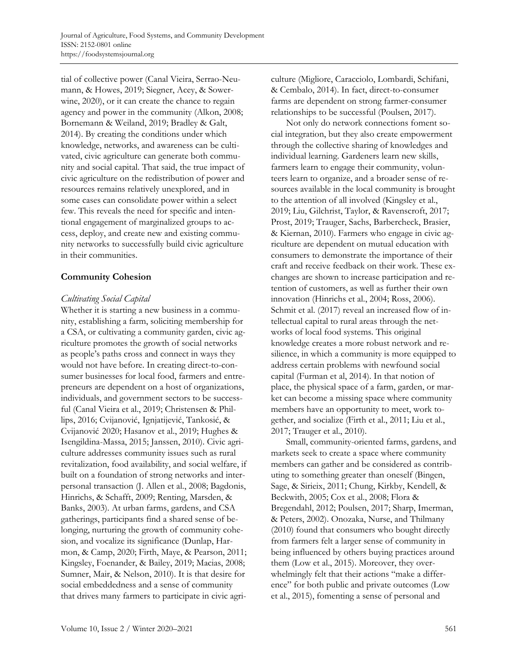tial of collective power (Canal Vieira, Serrao-Neumann, & Howes, 2019; Siegner, Acey, & Sowerwine, 2020), or it can create the chance to regain agency and power in the community (Alkon, 2008; Bornemann & Weiland, 2019; Bradley & Galt, 2014). By creating the conditions under which knowledge, networks, and awareness can be cultivated, civic agriculture can generate both community and social capital. That said, the true impact of civic agriculture on the redistribution of power and resources remains relatively unexplored, and in some cases can consolidate power within a select few. This reveals the need for specific and intentional engagement of marginalized groups to access, deploy, and create new and existing community networks to successfully build civic agriculture in their communities.

# **Community Cohesion**

### *Cultivating Social Capital*

Whether it is starting a new business in a community, establishing a farm, soliciting membership for a CSA, or cultivating a community garden, civic agriculture promotes the growth of social networks as people's paths cross and connect in ways they would not have before. In creating direct-to-consumer businesses for local food, farmers and entrepreneurs are dependent on a host of organizations, individuals, and government sectors to be successful (Canal Vieira et al., 2019; Christensen & Phillips, 2016; Cvijanović, Ignjatijević, Tankosić, & Cvijanović 2020; Hasanov et al., 2019; Hughes & Isengildina-Massa, 2015; Janssen, 2010). Civic agriculture addresses community issues such as rural revitalization, food availability, and social welfare, if built on a foundation of strong networks and interpersonal transaction (J. Allen et al., 2008; Bagdonis, Hinrichs, & Schafft, 2009; Renting, Marsden, & Banks, 2003). At urban farms, gardens, and CSA gatherings, participants find a shared sense of belonging, nurturing the growth of community cohesion, and vocalize its significance (Dunlap, Harmon, & Camp, 2020; Firth, Maye, & Pearson, 2011; Kingsley, Foenander, & Bailey, 2019; Macias, 2008; Sumner, Mair, & Nelson, 2010). It is that desire for social embeddedness and a sense of community that drives many farmers to participate in civic agriculture (Migliore, Caracciolo, Lombardi, Schifani, & Cembalo, 2014). In fact, direct-to-consumer farms are dependent on strong farmer-consumer relationships to be successful (Poulsen, 2017).

Not only do network connections foment social integration, but they also create empowerment through the collective sharing of knowledges and individual learning. Gardeners learn new skills, farmers learn to engage their community, volunteers learn to organize, and a broader sense of resources available in the local community is brought to the attention of all involved (Kingsley et al., 2019; Liu, Gilchrist, Taylor, & Ravenscroft, 2017; Prost, 2019; Trauger, Sachs, Barbercheck, Brasier, & Kiernan, 2010). Farmers who engage in civic agriculture are dependent on mutual education with consumers to demonstrate the importance of their craft and receive feedback on their work. These exchanges are shown to increase participation and retention of customers, as well as further their own innovation (Hinrichs et al., 2004; Ross, 2006). Schmit et al. (2017) reveal an increased flow of intellectual capital to rural areas through the networks of local food systems. This original knowledge creates a more robust network and resilience, in which a community is more equipped to address certain problems with newfound social capital (Furman et al, 2014). In that notion of place, the physical space of a farm, garden, or market can become a missing space where community members have an opportunity to meet, work together, and socialize (Firth et al., 2011; Liu et al., 2017; Trauger et al., 2010).

Small, community-oriented farms, gardens, and markets seek to create a space where community members can gather and be considered as contributing to something greater than oneself (Bingen, Sage, & Sirieix, 2011; Chung, Kirkby, Kendell, & Beckwith, 2005; Cox et al., 2008; Flora & Bregendahl, 2012; Poulsen, 2017; Sharp, Imerman, & Peters, 2002). Onozaka, Nurse, and Thilmany (2010) found that consumers who bought directly from farmers felt a larger sense of community in being influenced by others buying practices around them (Low et al., 2015). Moreover, they overwhelmingly felt that their actions "make a difference" for both public and private outcomes (Low et al., 2015), fomenting a sense of personal and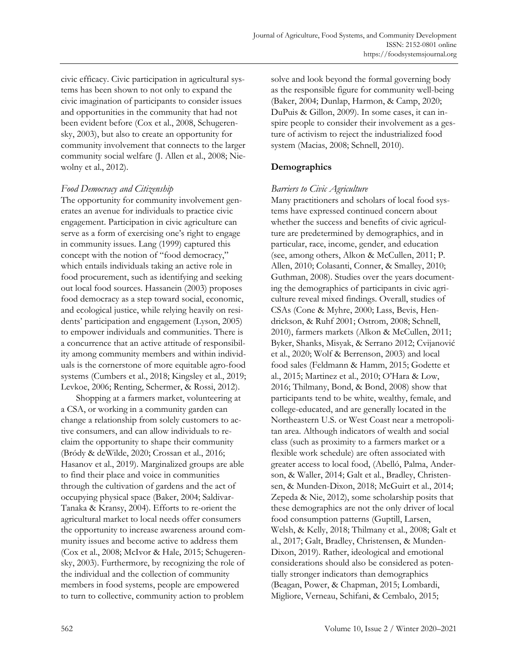civic efficacy. Civic participation in agricultural systems has been shown to not only to expand the civic imagination of participants to consider issues and opportunities in the community that had not been evident before (Cox et al., 2008, Schugerensky, 2003), but also to create an opportunity for community involvement that connects to the larger community social welfare (J. Allen et al., 2008; Niewolny et al., 2012).

# *Food Democracy and Citizenship*

The opportunity for community involvement generates an avenue for individuals to practice civic engagement. Participation in civic agriculture can serve as a form of exercising one's right to engage in community issues. Lang (1999) captured this concept with the notion of "food democracy," which entails individuals taking an active role in food procurement, such as identifying and seeking out local food sources. Hassanein (2003) proposes food democracy as a step toward social, economic, and ecological justice, while relying heavily on residents' participation and engagement (Lyson, 2005) to empower individuals and communities. There is a concurrence that an active attitude of responsibility among community members and within individuals is the cornerstone of more equitable agro-food systems (Cumbers et al., 2018; Kingsley et al., 2019; Levkoe, 2006; Renting, Schermer, & Rossi, 2012).

Shopping at a farmers market, volunteering at a CSA, or working in a community garden can change a relationship from solely customers to active consumers, and can allow individuals to reclaim the opportunity to shape their community (Bródy & deWilde, 2020; Crossan et al., 2016; Hasanov et al., 2019). Marginalized groups are able to find their place and voice in communities through the cultivation of gardens and the act of occupying physical space (Baker, 2004; Saldivar-Tanaka & Kransy, 2004). Efforts to re-orient the agricultural market to local needs offer consumers the opportunity to increase awareness around community issues and become active to address them (Cox et al., 2008; McIvor & Hale, 2015; Schugerensky, 2003). Furthermore, by recognizing the role of the individual and the collection of community members in food systems, people are empowered to turn to collective, community action to problem

solve and look beyond the formal governing body as the responsible figure for community well-being (Baker, 2004; Dunlap, Harmon, & Camp, 2020; DuPuis & Gillon, 2009). In some cases, it can inspire people to consider their involvement as a gesture of activism to reject the industrialized food system (Macias, 2008; Schnell, 2010).

# **Demographics**

# *Barriers to Civic Agriculture*

Many practitioners and scholars of local food systems have expressed continued concern about whether the success and benefits of civic agriculture are predetermined by demographics, and in particular, race, income, gender, and education (see, among others, Alkon & McCullen, 2011; P. Allen, 2010; Colasanti, Conner, & Smalley, 2010; Guthman, 2008). Studies over the years documenting the demographics of participants in civic agriculture reveal mixed findings. Overall, studies of CSAs (Cone & Myhre, 2000; Lass, Bevis, Hendrickson, & Ruhf 2001; Ostrom, 2008; Schnell, 2010), farmers markets (Alkon & McCullen, 2011; Byker, Shanks, Misyak, & Serrano 2012; Cvijanović et al., 2020; Wolf & Berrenson, 2003) and local food sales (Feldmann & Hamm, 2015; Godette et al., 2015; Martinez et al., 2010; O'Hara & Low, 2016; Thilmany, Bond, & Bond, 2008) show that participants tend to be white, wealthy, female, and college-educated, and are generally located in the Northeastern U.S. or West Coast near a metropolitan area. Although indicators of wealth and social class (such as proximity to a farmers market or a flexible work schedule) are often associated with greater access to local food, (Abelló, Palma, Anderson, & Waller, 2014; Galt et al., Bradley, Christensen, & Munden-Dixon, 2018; McGuirt et al., 2014; Zepeda & Nie, 2012), some scholarship posits that these demographics are not the only driver of local food consumption patterns (Guptill, Larsen, Welsh, & Kelly, 2018; Thilmany et al., 2008; Galt et al., 2017; Galt, Bradley, Christensen, & Munden-Dixon, 2019). Rather, ideological and emotional considerations should also be considered as potentially stronger indicators than demographics (Beagan, Power, & Chapman, 2015; Lombardi, Migliore, Verneau, Schifani, & Cembalo, 2015;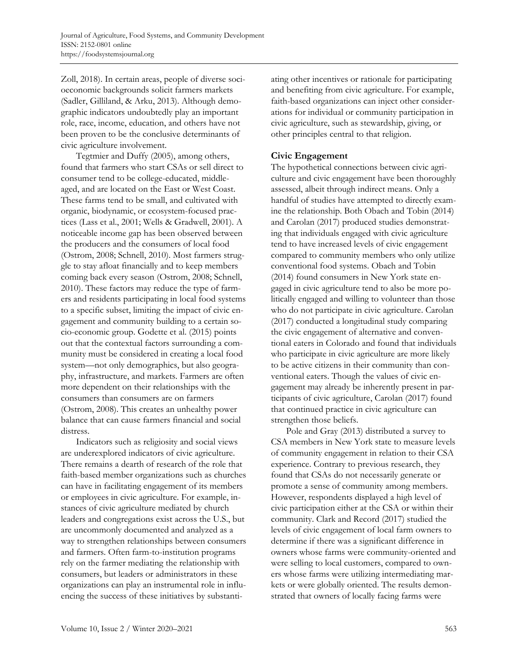Zoll, 2018). In certain areas, people of diverse socioeconomic backgrounds solicit farmers markets (Sadler, Gilliland, & Arku, 2013). Although demographic indicators undoubtedly play an important role, race, income, education, and others have not been proven to be the conclusive determinants of civic agriculture involvement.

Tegtmier and Duffy (2005), among others, found that farmers who start CSAs or sell direct to consumer tend to be college-educated, middleaged, and are located on the East or West Coast. These farms tend to be small, and cultivated with organic, biodynamic, or ecosystem-focused practices (Lass et al., 2001; Wells & Gradwell, 2001). A noticeable income gap has been observed between the producers and the consumers of local food (Ostrom, 2008; Schnell, 2010). Most farmers struggle to stay afloat financially and to keep members coming back every season (Ostrom, 2008; Schnell, 2010). These factors may reduce the type of farmers and residents participating in local food systems to a specific subset, limiting the impact of civic engagement and community building to a certain socio-economic group. Godette et al. (2015) points out that the contextual factors surrounding a community must be considered in creating a local food system—not only demographics, but also geography, infrastructure, and markets. Farmers are often more dependent on their relationships with the consumers than consumers are on farmers (Ostrom, 2008). This creates an unhealthy power balance that can cause farmers financial and social distress.

Indicators such as religiosity and social views are underexplored indicators of civic agriculture. There remains a dearth of research of the role that faith-based member organizations such as churches can have in facilitating engagement of its members or employees in civic agriculture. For example, instances of civic agriculture mediated by church leaders and congregations exist across the U.S., but are uncommonly documented and analyzed as a way to strengthen relationships between consumers and farmers. Often farm-to-institution programs rely on the farmer mediating the relationship with consumers, but leaders or administrators in these organizations can play an instrumental role in influencing the success of these initiatives by substantiating other incentives or rationale for participating and benefiting from civic agriculture. For example, faith-based organizations can inject other considerations for individual or community participation in civic agriculture, such as stewardship, giving, or other principles central to that religion.

# **Civic Engagement**

The hypothetical connections between civic agriculture and civic engagement have been thoroughly assessed, albeit through indirect means. Only a handful of studies have attempted to directly examine the relationship. Both Obach and Tobin (2014) and Carolan (2017) produced studies demonstrating that individuals engaged with civic agriculture tend to have increased levels of civic engagement compared to community members who only utilize conventional food systems. Obach and Tobin (2014) found consumers in New York state engaged in civic agriculture tend to also be more politically engaged and willing to volunteer than those who do not participate in civic agriculture. Carolan (2017) conducted a longitudinal study comparing the civic engagement of alternative and conventional eaters in Colorado and found that individuals who participate in civic agriculture are more likely to be active citizens in their community than conventional eaters. Though the values of civic engagement may already be inherently present in participants of civic agriculture, Carolan (2017) found that continued practice in civic agriculture can strengthen those beliefs.

Pole and Gray (2013) distributed a survey to CSA members in New York state to measure levels of community engagement in relation to their CSA experience. Contrary to previous research, they found that CSAs do not necessarily generate or promote a sense of community among members. However, respondents displayed a high level of civic participation either at the CSA or within their community. Clark and Record (2017) studied the levels of civic engagement of local farm owners to determine if there was a significant difference in owners whose farms were community-oriented and were selling to local customers, compared to owners whose farms were utilizing intermediating markets or were globally oriented. The results demonstrated that owners of locally facing farms were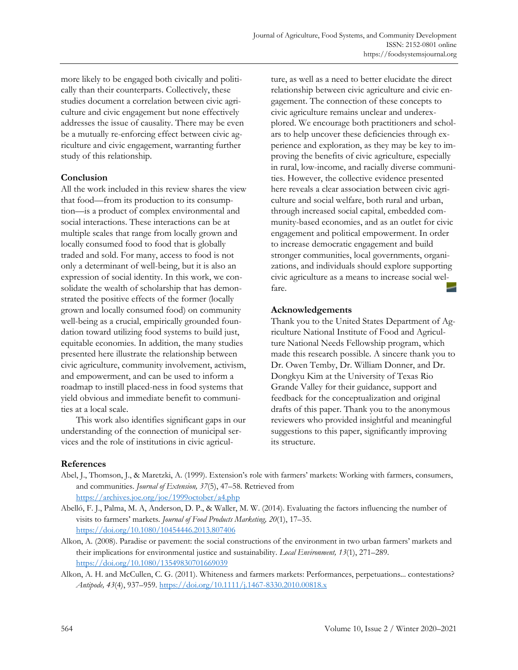more likely to be engaged both civically and politically than their counterparts. Collectively, these studies document a correlation between civic agriculture and civic engagement but none effectively addresses the issue of causality. There may be even be a mutually re-enforcing effect between civic agriculture and civic engagement, warranting further study of this relationship.

### **Conclusion**

All the work included in this review shares the view that food—from its production to its consumption—is a product of complex environmental and social interactions. These interactions can be at multiple scales that range from locally grown and locally consumed food to food that is globally traded and sold. For many, access to food is not only a determinant of well-being, but it is also an expression of social identity. In this work, we consolidate the wealth of scholarship that has demonstrated the positive effects of the former (locally grown and locally consumed food) on community well-being as a crucial, empirically grounded foundation toward utilizing food systems to build just, equitable economies. In addition, the many studies presented here illustrate the relationship between civic agriculture, community involvement, activism, and empowerment, and can be used to inform a roadmap to instill placed-ness in food systems that yield obvious and immediate benefit to communities at a local scale.

This work also identifies significant gaps in our understanding of the connection of municipal services and the role of institutions in civic agriculture, as well as a need to better elucidate the direct relationship between civic agriculture and civic engagement. The connection of these concepts to civic agriculture remains unclear and underexplored. We encourage both practitioners and scholars to help uncover these deficiencies through experience and exploration, as they may be key to improving the benefits of civic agriculture, especially in rural, low-income, and racially diverse communities. However, the collective evidence presented here reveals a clear association between civic agriculture and social welfare, both rural and urban, through increased social capital, embedded community-based economies, and as an outlet for civic engagement and political empowerment. In order to increase democratic engagement and build stronger communities, local governments, organizations, and individuals should explore supporting civic agriculture as a means to increase social welfare.

### **Acknowledgements**

Thank you to the United States Department of Agriculture National Institute of Food and Agriculture National Needs Fellowship program, which made this research possible. A sincere thank you to Dr. Owen Temby, Dr. William Donner, and Dr. Dongkyu Kim at the University of Texas Rio Grande Valley for their guidance, support and feedback for the conceptualization and original drafts of this paper. Thank you to the anonymous reviewers who provided insightful and meaningful suggestions to this paper, significantly improving its structure.

### **References**

- Abel, J., Thomson, J., & Maretzki, A. (1999). Extension's role with farmers' markets: Working with farmers, consumers, and communities. *Journal of Extension, 37*(5), 47–58. Retrieved from <https://archives.joe.org/joe/1999october/a4.php>
- Abelló, F. J., Palma, M. A, Anderson, D. P., & Waller, M. W. (2014). Evaluating the factors influencing the number of visits to farmers' markets. *Journal of Food Products Marketing, 20*(1), 17–35. <https://doi.org/10.1080/10454446.2013.807406>
- Alkon, A. (2008). Paradise or pavement: the social constructions of the environment in two urban farmers' markets and their implications for environmental justice and sustainability. *Local Environment, 13*(1), 271–289. <https://doi.org/10.1080/13549830701669039>
- Alkon, A. H. and McCullen, C. G. (2011). Whiteness and farmers markets: Performances, perpetuations... contestations? *Antipode, 43*(4), 937–959.<https://doi.org/10.1111/j.1467-8330.2010.00818.x>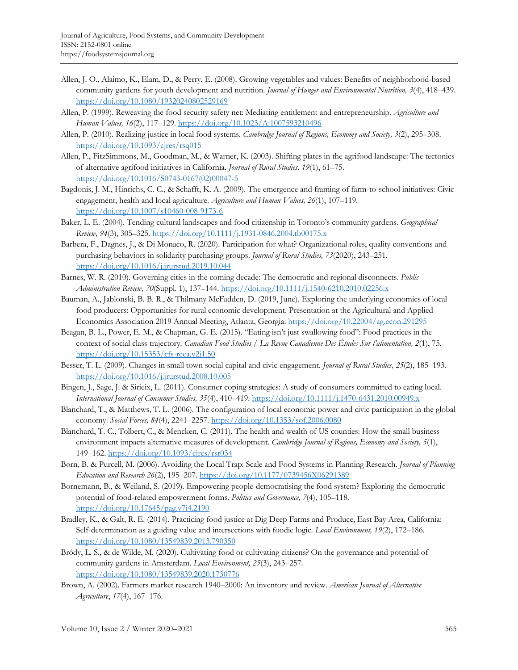- Allen, J. O., Alaimo, K., Elam, D., & Perry, E. (2008). Growing vegetables and values: Benefits of neighborhood-based community gardens for youth development and nutrition. *Journal of Hunger and Environmental Nutrition, 3*(4), 418–439. <https://doi.org/10.1080/19320240802529169>
- Allen, P. (1999). Reweaving the food security safety net: Mediating entitlement and entrepreneurship. *Agriculture and Human Values, 16*(2), 117–129[. https://doi.org/10.1023/A:1007593210496](https://doi.org/10.1023/A:1007593210496)
- Allen, P. (2010). Realizing justice in local food systems*. Cambridge Journal of Regions, Economy and Society, 3*(2), 295–308. <https://doi.org/10.1093/cjres/rsq015>
- Allen, P., FitzSimmons, M., Goodman, M., & Warner, K. (2003). Shifting plates in the agrifood landscape: The tectonics of alternative agrifood initiatives in California. *Journal of Rural Studies, 19*(1), 61–75. [https://doi.org/10.1016/S0743-0167\(02\)00047-5](https://doi.org/10.1016/S0743-0167(02)00047-5)
- Bagdonis, J. M., Hinrichs, C. C., & Schafft, K. A. (2009). The emergence and framing of farm-to-school initiatives: Civic engagement, health and local agriculture. *Agriculture and Human Values, 26*(1), 107–119. <https://doi.org/10.1007/s10460-008-9173-6>
- Baker, L. E. (2004). Tending cultural landscapes and food citizenship in Toronto's community gardens. *Geographical Review, 94*(3), 305–325.<https://doi.org/10.1111/j.1931-0846.2004.tb00175.x>
- Barbera, F., Dagnes, J., & Di Monaco, R. (2020). Participation for what? Organizational roles, quality conventions and purchasing behaviors in solidarity purchasing groups. *Journal of Rural Studies, 73*(2020), 243–251. <https://doi.org/10.1016/j.jrurstud.2019.10.044>
- Barnes, W. R. (2010). Governing cities in the coming decade: The democratic and regional disconnects. *Public Administration Review, 70*(Suppl. 1), 137–144.<https://doi.org/10.1111/j.1540-6210.2010.02256.x>
- Bauman, A., Jablonski, B. B. R., & Thilmany McFadden, D. (2019, June). Exploring the underlying economics of local food producers: Opportunities for rural economic development. Presentation at the Agricultural and Applied Economics Association 2019 Annual Meeting, Atlanta, Georgia. <https://doi.org/10.22004/ag.econ.291295>
- Beagan, B. L., Power, E. M., & Chapman, G. E. (2015). "Eating isn't just swallowing food": Food practices in the context of social class trajectory. *Canadian Food Studies / La Revue Canadienne Des Études Sur l'alimentation, 2*(1), 75. <https://doi.org/10.15353/cfs-rcea.v2i1.50>

Besser, T. L. (2009). Changes in small town social capital and civic engagement. *Journal of Rural Studies, 25*(2), 185–193. <https://doi.org/10.1016/j.jrurstud.2008.10.005>

- Bingen, J., Sage, J. & Sirieix, L. (2011). Consumer coping strategies: A study of consumers committed to eating local. *International Journal of Consumer Studies, 35*(4), 410–419.<https://doi.org/10.1111/j.1470-6431.2010.00949.x>
- Blanchard, T., & Matthews, T. L. (2006). The configuration of local economic power and civic participation in the global economy. *Social Forces, 84*(4), 2241–2257.<https://doi.org/10.1353/sof.2006.0080>
- Blanchard, T. C., Tolbert, C., & Mencken, C. (2011). The health and wealth of US counties: How the small business environment impacts alternative measures of development. *Cambridge Journal of Regions, Economy and Society, 5*(1), 149–162.<https://doi.org/10.1093/cjres/rsr034>
- Born, B. & Purcell, M. (2006). Avoiding the Local Trap: Scale and Food Systems in Planning Research. *Journal of Planning Education and Research 26*(2), 195–207. [https://doi.org/10.1177/0739456X06291389](https://doi.org/10.1177%2F0739456X06291389)
- Bornemann, B., & Weiland, S. (2019). Empowering people-democratising the food system? Exploring the democratic potential of food-related empowerment forms. *Politics and Governance, 7*(4), 105–118. <https://doi.org/10.17645/pag.v7i4.2190>
- Bradley, K., & Galt, R. E. (2014). Practicing food justice at Dig Deep Farms and Produce, East Bay Area, California: Self-determination as a guiding value and intersections with foodie logic. *Local Environment, 19*(2), 172–186. <https://doi.org/10.1080/13549839.2013.790350>
- Bródy, L. S., & de Wilde, M. (2020). Cultivating food or cultivating citizens? On the governance and potential of community gardens in Amsterdam. *Local Environment, 25*(3), 243–257. <https://doi.org/10.1080/13549839.2020.1730776>
- Brown, A. (2002). Farmers market research 1940–2000: An inventory and review. *American Journal of Alternative Agriculture*, *17*(4), 167–176.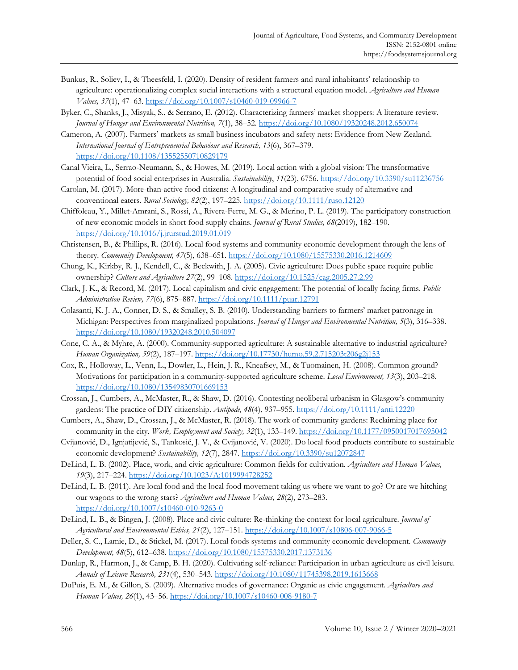- Bunkus, R., Soliev, I., & Theesfeld, I. (2020). Density of resident farmers and rural inhabitants' relationship to agriculture: operationalizing complex social interactions with a structural equation model. *Agriculture and Human Values, 37*(1), 47–63.<https://doi.org/10.1007/s10460-019-09966-7>
- Byker, C., Shanks, J., Misyak, S., & Serrano, E. (2012). Characterizing farmers' market shoppers: A literature review. *Journal of Hunger and Environmental Nutrition, 7*(1), 38–52.<https://doi.org/10.1080/19320248.2012.650074>
- Cameron, A. (2007). Farmers' markets as small business incubators and safety nets: Evidence from New Zealand. *International Journal of Entrepreneurial Behaviour and Research, 13*(6), 367–379. <https://doi.org/10.1108/13552550710829179>
- Canal Vieira, L., Serrao-Neumann, S., & Howes, M. (2019). Local action with a global vision: The transformative potential of food social enterprises in Australia. *Sustainability*, *11*(23), 6756.<https://doi.org/10.3390/su11236756>
- Carolan, M. (2017). More-than-active food citizens: A longitudinal and comparative study of alternative and conventional eaters. *Rural Sociology, 82*(2), 197–225.<https://doi.org/10.1111/ruso.12120>
- Chiffoleau, Y., Millet-Amrani, S., Rossi, A., Rivera-Ferre, M. G., & Merino, P. L. (2019). The participatory construction of new economic models in short food supply chains. *Journal of Rural Studies, 68*(2019), 182–190. <https://doi.org/10.1016/j.jrurstud.2019.01.019>
- Christensen, B., & Phillips, R. (2016). Local food systems and community economic development through the lens of theory. *Community Development, 47*(5), 638–651.<https://doi.org/10.1080/15575330.2016.1214609>
- Chung, K., Kirkby, R. J., Kendell, C., & Beckwith, J. A. (2005). Civic agriculture: Does public space require public ownership? *Culture and Agriculture 27*(2), 99–108. <https://doi.org/10.1525/cag.2005.27.2.99>
- Clark, J. K., & Record, M. (2017). Local capitalism and civic engagement: The potential of locally facing firms. *Public Administration Review, 77*(6), 875–887[. https://doi.org/10.1111/puar.12791](https://doi.org/10.1111/puar.12791)
- Colasanti, K. J. A., Conner, D. S., & Smalley, S. B. (2010). Understanding barriers to farmers' market patronage in Michigan: Perspectives from marginalized populations. *Journal of Hunger and Environmental Nutrition, 5*(3), 316–338. <https://doi.org/10.1080/19320248.2010.504097>
- Cone, C. A., & Myhre, A. (2000). Community-supported agriculture: A sustainable alternative to industrial agriculture? *Human Organization, 59*(2), 187–197[. https://doi.org/10.17730/humo.59.2.715203t206g2j153](https://doi.org/10.17730/humo.59.2.715203t206g2j153)
- Cox, R., Holloway, L., Venn, L., Dowler, L., Hein, J. R., Kneafsey, M., & Tuomainen, H. (2008). Common ground? Motivations for participation in a community-supported agriculture scheme. *Local Environment, 13*(3), 203–218. <https://doi.org/10.1080/13549830701669153>
- Crossan, J., Cumbers, A., McMaster, R., & Shaw, D. (2016). Contesting neoliberal urbanism in Glasgow's community gardens: The practice of DIY citizenship. *Antipode, 48*(4), 937–955[. https://doi.org/10.1111/anti.12220](https://doi.org/10.1111/anti.12220)
- Cumbers, A., Shaw, D., Crossan, J., & McMaster, R. (2018). The work of community gardens: Reclaiming place for community in the city. *Work, Employment and Society, 32*(1), 133–149[. https://doi.org/10.1177/0950017017695042](https://doi.org/10.1177/0950017017695042)
- Cvijanović, D., Ignjatijević, S., Tankosić, J. V., & Cvijanović, V. (2020). Do local food products contribute to sustainable economic development? *Sustainability, 12*(7), 2847[. https://doi.org/10.3390/su12072847](https://doi.org/10.3390/su12072847)
- DeLind, L. B. (2002). Place, work, and civic agriculture: Common fields for cultivation. *Agriculture and Human Values, 19*(3), 217–224.<https://doi.org/10.1023/A:1019994728252>
- DeLind, L. B. (2011). Are local food and the local food movement taking us where we want to go? Or are we hitching our wagons to the wrong stars? *Agriculture and Human Values, 28*(2), 273–283. <https://doi.org/10.1007/s10460-010-9263-0>
- DeLind, L. B., & Bingen, J. (2008). Place and civic culture: Re-thinking the context for local agriculture. *Journal of Agricultural and Environmental Ethics, 21*(2), 127–151[. https://doi.org/10.1007/s10806-007-9066-5](https://doi.org/10.1007/s10806-007-9066-5)
- Deller, S. C., Lamie, D., & Stickel, M. (2017). Local foods systems and community economic development. *Community Development, 48*(5), 612–638.<https://doi.org/10.1080/15575330.2017.1373136>
- Dunlap, R., Harmon, J., & Camp, B. H. (2020). Cultivating self-reliance: Participation in urban agriculture as civil leisure. *Annals of Leisure Research, 231*(4), 530–543.<https://doi.org/10.1080/11745398.2019.1613668>
- DuPuis, E. M., & Gillon, S. (2009). Alternative modes of governance: Organic as civic engagement. *Agriculture and Human Values, 26*(1), 43–56.<https://doi.org/10.1007/s10460-008-9180-7>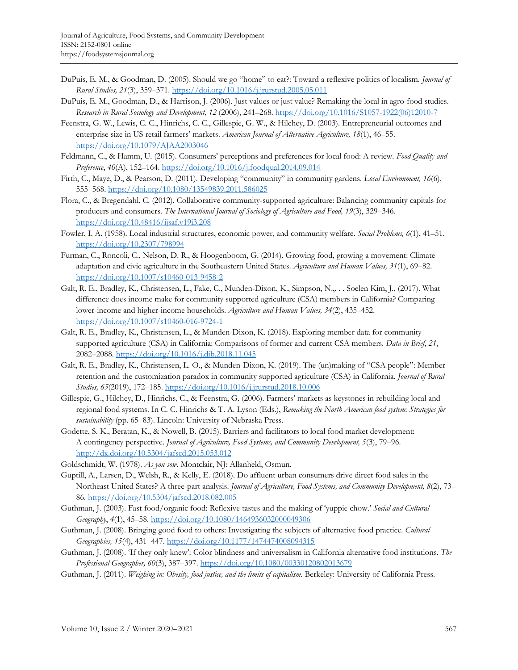- DuPuis, E. M., & Goodman, D. (2005). Should we go "home" to eat?: Toward a reflexive politics of localism. *Journal of Rural Studies, 21*(3), 359–371.<https://doi.org/10.1016/j.jrurstud.2005.05.011>
- DuPuis, E. M., Goodman, D., & Harrison, J. (2006). Just values or just value? Remaking the local in agro-food studies. *Research in Rural Sociology and Development, 12* (2006), 241–268[. https://doi.org/10.1016/S1057-1922\(06\)12010-7](https://doi.org/10.1016/S1057-1922(06)12010-7)
- Feenstra, G. W., Lewis, C. C., Hinrichs, C. C., Gillespie, G. W., & Hilchey, D. (2003). Entrepreneurial outcomes and enterprise size in US retail farmers' markets. *American Journal of Alternative Agriculture, 18*(1), 46–55. <https://doi.org/10.1079/AJAA2003046>
- Feldmann, C., & Hamm, U. (2015). Consumers' perceptions and preferences for local food: A review. *Food Quality and Preference*, *40*(A), 152–164.<https://doi.org/10.1016/j.foodqual.2014.09.014>
- Firth, C., Maye, D., & Pearson, D. (2011). Developing "community" in community gardens. *Local Environment, 16*(6), 555–568.<https://doi.org/10.1080/13549839.2011.586025>
- Flora, C., & Bregendahl, C. (2012). Collaborative community-supported agriculture: Balancing community capitals for producers and consumers. *The International Journal of Sociology of Agriculture and Food, 19*(3), 329–346. <https://doi.org/10.48416/ijsaf.v19i3.208>
- Fowler, I. A. (1958). Local industrial structures, economic power, and community welfare. *Social Problems, 6*(1), 41–51. <https://doi.org/10.2307/798994>
- Furman, C., Roncoli, C., Nelson, D. R., & Hoogenboom, G. (2014). Growing food, growing a movement: Climate adaptation and civic agriculture in the Southeastern United States. *Agriculture and Human Values, 31*(1), 69–82. <https://doi.org/10.1007/s10460-013-9458-2>
- Galt, R. E., Bradley, K., Christensen, L., Fake, C., Munden-Dixon, K., Simpson, N.,. . . Soelen Kim, J., (2017). What difference does income make for community supported agriculture (CSA) members in California? Comparing lower-income and higher-income households. *Agriculture and Human Values, 34*(2), 435–452. <https://doi.org/10.1007/s10460-016-9724-1>
- Galt, R. E., Bradley, K., Christensen, L., & Munden-Dixon, K. (2018). Exploring member data for community supported agriculture (CSA) in California: Comparisons of former and current CSA members. *Data in Brief*, *21*, 2082–2088.<https://doi.org/10.1016/j.dib.2018.11.045>
- Galt, R. E., Bradley, K., Christensen, L. O., & Munden-Dixon, K. (2019). The (un)making of "CSA people": Member retention and the customization paradox in community supported agriculture (CSA) in California. *Journal of Rural Studies, 65*(2019), 172–185.<https://doi.org/10.1016/j.jrurstud.2018.10.006>
- Gillespie, G., Hilchey, D., Hinrichs, C., & Feenstra, G. (2006). Farmers' markets as keystones in rebuilding local and regional food systems. In C. C. Hinrichs & T. A. Lyson (Eds.), *Remaking the North American food system: Strategies for sustainability* (pp. 65–83). Lincoln: University of Nebraska Press.
- Godette, S. K., Beratan, K., & Nowell, B. (2015). Barriers and facilitators to local food market development: A contingency perspective. *Journal of Agriculture, Food Systems, and Community Development, 5*(3), 79–96. <http://dx.doi.org/10.5304/jafscd.2015.053.012>
- Goldschmidt, W. (1978). *As you sow*. Montclair, NJ: Allanheld, Osmun.
- Guptill, A., Larsen, D., Welsh, R., & Kelly, E. (2018). Do affluent urban consumers drive direct food sales in the Northeast United States? A three-part analysis. *Journal of Agriculture, Food Systems, and Community Development, 8*(2), 73– 86.<https://doi.org/10.5304/jafscd.2018.082.005>
- Guthman, J. (2003). Fast food/organic food: Reflexive tastes and the making of 'yuppie chow.' *Social and Cultural Geography*, *4*(1), 45–58.<https://doi.org/10.1080/1464936032000049306>
- Guthman, J. (2008). Bringing good food to others: Investigating the subjects of alternative food practice. *Cultural Geographies, 15*(4), 431–447. <https://doi.org/10.1177/1474474008094315>
- Guthman, J. (2008). 'If they only knew': Color blindness and universalism in California alternative food institutions. *The Professional Geographer, 60*(3), 387–397. <https://doi.org/10.1080/00330120802013679>
- Guthman, J. (2011). *Weighing in: Obesity, food justice, and the limits of capitalism*. Berkeley: University of California Press.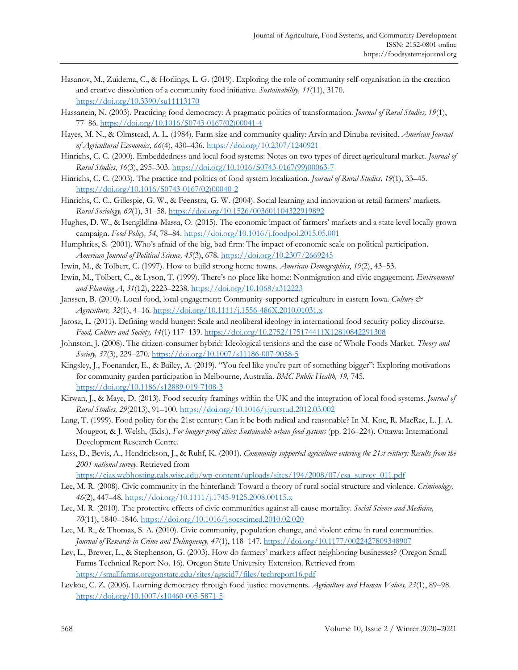- Hasanov, M., Zuidema, C., & Horlings, L. G. (2019). Exploring the role of community self-organisation in the creation and creative dissolution of a community food initiative. *Sustainability, 11*(11), 3170. <https://doi.org/10.3390/su11113170>
- Hassanein, N. (2003). Practicing food democracy: A pragmatic politics of transformation. *Journal of Rural Studies, 19*(1), 77–86. [https://doi.org/10.1016/S0743-0167\(02\)00041-4](https://doi.org/10.1016/S0743-0167(02)00041-4)
- Hayes, M. N., & Olmstead, A. L. (1984). Farm size and community quality: Arvin and Dinuba revisited. *American Journal of Agricultural Economics, 66*(4), 430–436.<https://doi.org/10.2307/1240921>
- Hinrichs, C. C. (2000). Embeddedness and local food systems: Notes on two types of direct agricultural market. *Journal of Rural Studies*, *16*(3), 295–303. [https://doi.org/10.1016/S0743-0167\(99\)00063-7](https://doi.org/10.1016/S0743-0167(99)00063-7)
- Hinrichs, C. C. (2003). The practice and politics of food system localization. *Journal of Rural Studies, 19*(1), 33–45. [https://doi.org/10.1016/S0743-0167\(02\)00040-2](https://doi.org/10.1016/S0743-0167(02)00040-2)
- Hinrichs, C. C., Gillespie, G. W., & Feenstra, G. W. (2004). Social learning and innovation at retail farmers' markets. *Rural Sociology, 69*(1), 31–58.<https://doi.org/10.1526/003601104322919892>
- Hughes, D. W., & Isengildina-Massa, O. (2015). The economic impact of farmers' markets and a state level locally grown campaign. *Food Policy, 54*, 78–84[. https://doi.org/10.1016/j.foodpol.2015.05.001](https://doi.org/10.1016/j.foodpol.2015.05.001)
- Humphries, S. (2001). Who's afraid of the big, bad firm: The impact of economic scale on political participation. *American Journal of Political Science, 45*(3), 678.<https://doi.org/10.2307/2669245>
- Irwin, M., & Tolbert, C. (1997). How to build strong home towns. *American Demographics*, *19*(2), 43–53.
- Irwin, M., Tolbert, C., & Lyson, T. (1999). There's no place like home: Nonmigration and civic engagement. *Environment and Planning A*, *31*(12), 2223–2238. <https://doi.org/10.1068/a312223>
- Janssen, B. (2010). Local food, local engagement: Community-supported agriculture in eastern Iowa. *Culture & Agriculture, 32*(1), 4–16.<https://doi.org/10.1111/j.1556-486X.2010.01031.x>
- Jarosz, L. (2011). Defining world hunger: Scale and neoliberal ideology in international food security policy discourse. *Food, Culture and Society, 14*(1) 117–139. <https://doi.org/10.2752/175174411X12810842291308>
- Johnston, J. (2008). The citizen-consumer hybrid: Ideological tensions and the case of Whole Foods Market. *Theory and Society, 37*(3), 229–270.<https://doi.org/10.1007/s11186-007-9058-5>
- Kingsley, J., Foenander, E., & Bailey, A. (2019). "You feel like you're part of something bigger": Exploring motivations for community garden participation in Melbourne, Australia. *BMC Public Health, 19,* 745. <https://doi.org/10.1186/s12889-019-7108-3>
- Kirwan, J., & Maye, D. (2013). Food security framings within the UK and the integration of local food systems. *Journal of Rural Studies, 29*(2013), 91–100. <https://doi.org/10.1016/j.jrurstud.2012.03.002>
- Lang, T. (1999). Food policy for the 21st century: Can it be both radical and reasonable? In M. Koc, R. MacRae, L. J. A. Mougeot, & J. Welsh, (Eds.), *For hunger-proof cities: Sustainable urban food systems* (pp. 216–224). Ottawa: International Development Research Centre.
- Lass, D., Bevis, A., Hendrickson, J., & Ruhf, K. (2001). *Community supported agriculture entering the 21st century: Results from the 2001 national survey*. Retrieved from
	- [https://cias.webhosting.cals.wisc.edu/wp-content/uploads/sites/194/2008/07/csa\\_survey\\_011.pdf](https://cias.webhosting.cals.wisc.edu/wp-content/uploads/sites/194/2008/07/csa_survey_011.pdf)
- Lee, M. R. (2008). Civic community in the hinterland: Toward a theory of rural social structure and violence. *Criminology, 46*(2), 447–48. <https://doi.org/10.1111/j.1745-9125.2008.00115.x>
- Lee, M. R. (2010). The protective effects of civic communities against all-cause mortality. *Social Science and Medicine, 70*(11), 1840–1846. <https://doi.org/10.1016/j.socscimed.2010.02.020>
- Lee, M. R., & Thomas, S. A. (2010). Civic community, population change, and violent crime in rural communities. *Journal of Research in Crime and Delinquency, 47*(1), 118–147.<https://doi.org/10.1177/0022427809348907>
- Lev, L., Brewer, L., & Stephenson, G. (2003). How do farmers' markets affect neighboring businesses? (Oregon Small Farms Technical Report No. 16). Oregon State University Extension. Retrieved from <https://smallfarms.oregonstate.edu/sites/agscid7/files/techreport16.pdf>
- Levkoe, C. Z. (2006). Learning democracy through food justice movements. *Agriculture and Human Values, 23*(1), 89–98. <https://doi.org/10.1007/s10460-005-5871-5>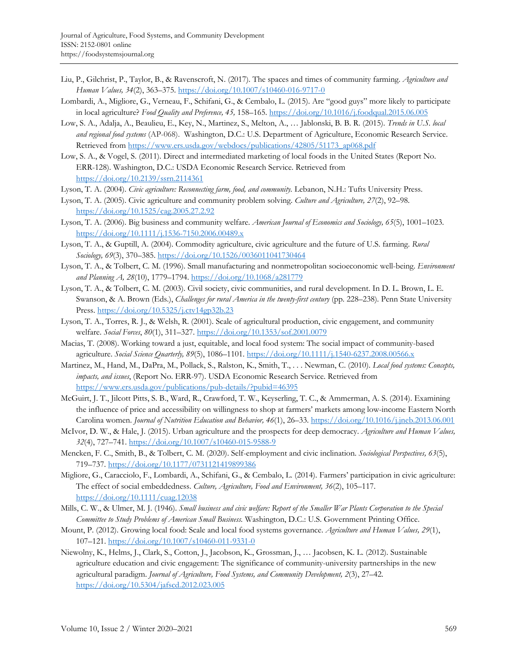- Liu, P., Gilchrist, P., Taylor, B., & Ravenscroft, N. (2017). The spaces and times of community farming. *Agriculture and Human Values, 34*(2), 363–375[. https://doi.org/10.1007/s10460-016-9717-0](https://doi.org/10.1007/s10460-016-9717-0)
- Lombardi, A., Migliore, G., Verneau, F., Schifani, G., & Cembalo, L. (2015). Are "good guys" more likely to participate in local agriculture? *Food Quality and Preference, 45,* 158–165.<https://doi.org/10.1016/j.foodqual.2015.06.005>
- Low, S. A., Adalja, A., Beaulieu, E., Key, N., Martinez, S., Melton, A., … Jablonski, B. B. R. (2015). *Trends in U.S. local and regional food systems* (AP-068). Washington, D.C.: U.S. Department of Agriculture, Economic Research Service. Retrieved from [https://www.ers.usda.gov/webdocs/publications/42805/51173\\_ap068.pdf](https://www.ers.usda.gov/webdocs/publications/42805/51173_ap068.pdf)
- Low, S. A., & Vogel, S. (2011). Direct and intermediated marketing of local foods in the United States (Report No. ERR-128). Washington, D.C.: USDA Economic Research Service. Retrieved from <https://doi.org/10.2139/ssrn.2114361>
- Lyson, T. A. (2004). *Civic agriculture: Reconnecting farm, food, and community*. Lebanon, N.H.: Tufts University Press.
- Lyson, T. A. (2005). Civic agriculture and community problem solving. *Culture and Agriculture, 27*(2), 92–98. <https://doi.org/10.1525/cag.2005.27.2.92>
- Lyson, T. A. (2006). Big business and community welfare. *American Journal of Economics and Sociology, 65*(5), 1001–1023. <https://doi.org/10.1111/j.1536-7150.2006.00489.x>
- Lyson, T. A., & Guptill, A. (2004). Commodity agriculture, civic agriculture and the future of U.S. farming. *Rural Sociology, 69*(3), 370–385.<https://doi.org/10.1526/0036011041730464>
- Lyson, T. A., & Tolbert, C. M. (1996). Small manufacturing and nonmetropolitan socioeconomic well-being. *Environment and Planning A, 28*(10), 1779–1794.<https://doi.org/10.1068/a281779>
- Lyson, T. A., & Tolbert, C. M. (2003). Civil society, civic communities, and rural development. In D. L. Brown, L. E. Swanson, & A. Brown (Eds.), *Challenges for rural America in the twenty-first century* (pp. 228–238). Penn State University Press.<https://doi.org/10.5325/j.ctv14gp32b.23>
- Lyson, T. A., Torres, R. J., & Welsh, R. (2001). Scale of agricultural production, civic engagement, and community welfare. *Social Forces*, *80*(1), 311–327. <https://doi.org/10.1353/sof.2001.0079>
- Macias, T. (2008). Working toward a just, equitable, and local food system: The social impact of community-based agriculture. *Social Science Quarterly, 89*(5), 1086–1101.<https://doi.org/10.1111/j.1540-6237.2008.00566.x>
- Martinez, M., Hand, M., DaPra, M., Pollack, S., Ralston, K., Smith, T., . . . Newman, C. (2010). *Local food systems: Concepts, impacts, and issues*, (Report No. ERR-97). USDA Economic Research Service. Retrieved from <https://www.ers.usda.gov/publications/pub-details/?pubid=46395>
- McGuirt, J. T., Jilcott Pitts, S. B., Ward, R., Crawford, T. W., Keyserling, T. C., & Ammerman, A. S. (2014). Examining the influence of price and accessibility on willingness to shop at farmers' markets among low-income Eastern North Carolina women. *Journal of Nutrition Education and Behavior, 46*(1), 26–33. <https://doi.org/10.1016/j.jneb.2013.06.001>
- McIvor, D. W., & Hale, J. (2015). Urban agriculture and the prospects for deep democracy. *Agriculture and Human Values, 32*(4), 727–741.<https://doi.org/10.1007/s10460-015-9588-9>
- Mencken, F. C., Smith, B., & Tolbert, C. M. (2020). Self-employment and civic inclination. *Sociological Perspectives, 63*(5), 719–737.<https://doi.org/10.1177/0731121419899386>
- Migliore, G., Caracciolo, F., Lombardi, A., Schifani, G., & Cembalo, L. (2014). Farmers' participation in civic agriculture: The effect of social embeddedness. *Culture, Agriculture, Food and Environment, 36*(2), 105–117. <https://doi.org/10.1111/cuag.12038>
- Mills, C. W., & Ulmer, M. J. (1946). *Small business and civic welfare: Report of the Smaller War Plants Corporation to the Special Committee to Study Problems of American Small Business.* Washington, D.C.: U.S. Government Printing Office.
- Mount, P. (2012). Growing local food: Scale and local food systems governance. *Agriculture and Human Values, 29*(1), 107–121.<https://doi.org/10.1007/s10460-011-9331-0>
- Niewolny, K., Helms, J., Clark, S., Cotton, J., Jacobson, K., Grossman, J., … Jacobsen, K. L. (2012). Sustainable agriculture education and civic engagement: The significance of community-university partnerships in the new agricultural paradigm. *Journal of Agriculture, Food Systems, and Community Development, 2*(3), 27–42. <https://doi.org/10.5304/jafscd.2012.023.005>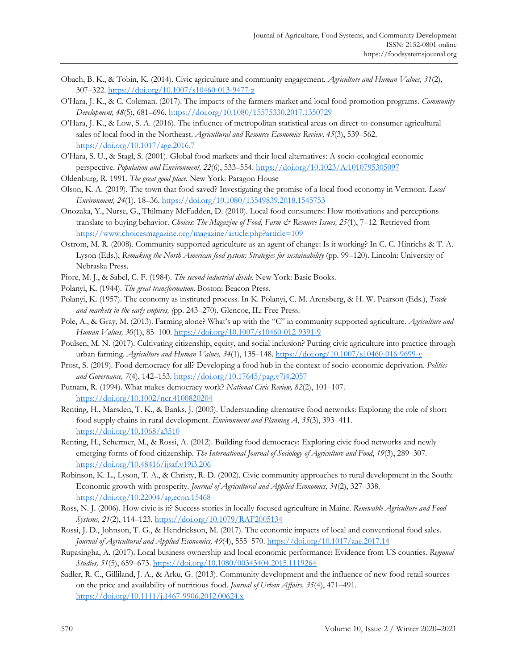- Obach, B. K., & Tobin, K. (2014). Civic agriculture and community engagement. *Agriculture and Human Values, 31*(2), 307–322.<https://doi.org/10.1007/s10460-013-9477-z>
- O'Hara, J. K., & C. Coleman. (2017). The impacts of the farmers market and local food promotion programs. *Community Development, 48*(5), 681–696.<https://doi.org/10.1080/15575330.2017.1350729>
- O'Hara, J. K., & Low, S. A. (2016). The influence of metropolitan statistical areas on direct-to-consumer agricultural sales of local food in the Northeast. *Agricultural and Resource Economics Review, 45*(3), 539–562. <https://doi.org/10.1017/age.2016.7>
- O'Hara, S. U., & Stagl, S. (2001). Global food markets and their local alternatives: A socio-ecological economic perspective. *Population and Environment, 22*(6), 533–554[. https://doi.org/10.1023/A:1010795305097](https://doi.org/10.1023/A:1010795305097)
- Oldenburg, R. 1991. *The great good place*. New York: Paragon House
- Olson, K. A. (2019). The town that food saved? Investigating the promise of a local food economy in Vermont. *Local Environment, 24*(1), 18–36.<https://doi.org/10.1080/13549839.2018.1545753>
- Onozaka, Y., Nurse, G., Thilmany McFadden, D. (2010). Local food consumers: How motivations and perceptions translate to buying behavior. *Choices: The Magazine of Food, Farm & Resource Issues, 25*(1), 7–12. Retrieved from <https://www.choicesmagazine.org/magazine/article.php?article=109>
- Ostrom, M. R. (2008). Community supported agriculture as an agent of change: Is it working? In C. C. Hinrichs & T. A. Lyson (Eds.), *Remaking the North American food system: Strategies for sustainability* (pp. 99–120). Lincoln: University of Nebraska Press.
- Piore, M. J., & Sabel, C. F. (1984). *The second industrial divide.* New York: Basic Books.
- Polanyi, K. (1944). *The great transformation*. Boston: Beacon Press.
- Polanyi, K. (1957). The economy as instituted process. In K. Polanyi, C. M. Arensberg, & H. W. Pearson (Eds.), *Trade and markets in the early empires, (*pp. 243–270). Glencoe, IL: Free Press.
- Pole, A., & Gray, M. (2013). Farming alone? What's up with the "C" in community supported agriculture. *Agriculture and Human Values, 30*(1), 85–100.<https://doi.org/10.1007/s10460-012-9391-9>
- Poulsen, M. N. (2017). Cultivating citizenship, equity, and social inclusion? Putting civic agriculture into practice through urban farming. *Agriculture and Human Values, 34*(1), 135–148.<https://doi.org/10.1007/s10460-016-9699-y>
- Prost, S. (2019). Food democracy for all? Developing a food hub in the context of socio-economic deprivation. *Politics and Governance, 7*(4), 142–153[. https://doi.org/10.17645/pag.v7i4.2057](https://doi.org/10.17645/pag.v7i4.2057)
- Putnam, R. (1994). What makes democracy work? *National Civic Review, 82*(2), 101–107. <https://doi.org/10.1002/ncr.4100820204>
- Renting, H., Marsden, T. K., & Banks, J. (2003). Understanding alternative food networks: Exploring the role of short food supply chains in rural development. *Environment and Planning A*, *35*(3), 393–411. <https://doi.org/10.1068/a3510>
- Renting, H., Schermer, M., & Rossi, A. (2012). Building food democracy: Exploring civic food networks and newly emerging forms of food citizenship. *The International Journal of Sociology of Agriculture and Food*, *19*(3), 289–307. <https://doi.org/10.48416/ijsaf.v19i3.206>
- Robinson, K. L., Lyson, T. A., & Christy, R. D. (2002). Civic community approaches to rural development in the South: Economic growth with prosperity. *Journal of Agricultural and Applied Economics, 34*(2), 327–338. <https://doi.org/10.22004/ag.econ.15468>
- Ross, N. J. (2006). How civic is it? Success stories in locally focused agriculture in Maine. *Renewable Agriculture and Food Systems, 21*(2), 114–123.<https://doi.org/10.1079/RAF2005134>
- Rossi, J. D., Johnson, T. G., & Hendrickson, M. (2017). The economic impacts of local and conventional food sales. *Journal of Agricultural and Applied Economics, 49*(4), 555–570.<https://doi.org/10.1017/aae.2017.14>
- Rupasingha, A. (2017). Local business ownership and local economic performance: Evidence from US counties. *Regional Studies, 51*(5), 659–673.<https://doi.org/10.1080/00343404.2015.1119264>
- Sadler, R. C., Gilliland, J. A., & Arku, G. (2013). Community development and the influence of new food retail sources on the price and availability of nutritious food. *Journal of Urban Affairs, 35*(4), 471–491. <https://doi.org/10.1111/j.1467-9906.2012.00624.x>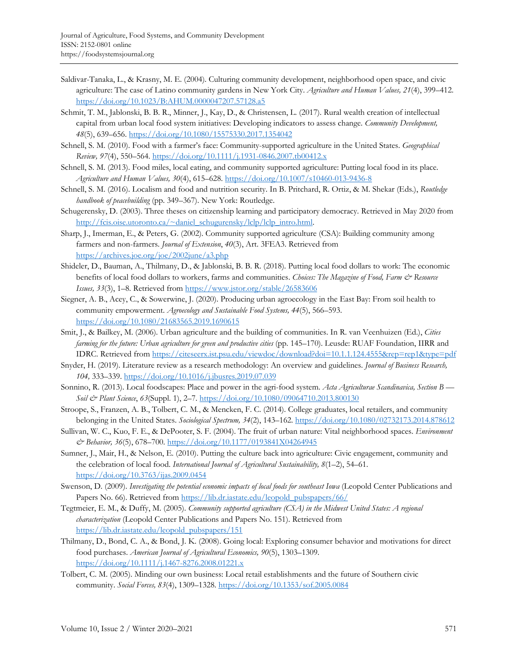- Saldivar-Tanaka, L., & Krasny, M. E. (2004). Culturing community development, neighborhood open space, and civic agriculture: The case of Latino community gardens in New York City. *Agriculture and Human Values, 21*(4), 399–412. <https://doi.org/10.1023/B:AHUM.0000047207.57128.a5>
- Schmit, T. M., Jablonski, B. B. R., Minner, J., Kay, D., & Christensen, L. (2017). Rural wealth creation of intellectual capital from urban local food system initiatives: Developing indicators to assess change. *Community Development, 48*(5), 639–656.<https://doi.org/10.1080/15575330.2017.1354042>
- Schnell, S. M. (2010). Food with a farmer's face: Community-supported agriculture in the United States. *Geographical Review, 97*(4), 550–564.<https://doi.org/10.1111/j.1931-0846.2007.tb00412.x>
- Schnell, S. M. (2013). Food miles, local eating, and community supported agriculture: Putting local food in its place. *Agriculture and Human Values, 30*(4), 615–628.<https://doi.org/10.1007/s10460-013-9436-8>
- Schnell, S. M. (2016). Localism and food and nutrition security. In B. Pritchard, R. Ortiz, & M. Shekar (Eds.), *Routledge handbook of peacebuilding* (pp. 349–367). New York: Routledge.
- Schugerensky, D. (2003). Three theses on citizenship learning and participatory democracy. Retrieved in May 2020 from [http://fcis.oise.utoronto.ca/~daniel\\_schugurensky/lclp/lclp\\_intro.html.](http://fcis.oise.utoronto.ca/~daniel_schugurensky/lclp/lclp_intro.html)
- Sharp, J., Imerman, E., & Peters, G. (2002). Community supported agriculture (CSA): Building community among farmers and non-farmers. *Journal of Extension*, *40*(3), Art. 3FEA3. Retrieved from <https://archives.joe.org/joe/2002june/a3.php>
- Shideler, D., Bauman, A., Thilmany, D., & Jablonski, B. B. R. (2018). Putting local food dollars to work: The economic benefits of local food dollars to workers, farms and communities. *Choices: The Magazine of Food, Farm & Resource Issues, 33*(3), 1–8. Retrieved from<https://www.jstor.org/stable/26583606>
- Siegner, A. B., Acey, C., & Sowerwine, J. (2020). Producing urban agroecology in the East Bay: From soil health to community empowerment. *Agroecology and Sustainable Food Systems, 44*(5), 566–593. <https://doi.org/10.1080/21683565.2019.1690615>
- Smit, J., & Bailkey, M. (2006). Urban agriculture and the building of communities. In R. van Veenhuizen (Ed.), *Cities farming for the future: Urban agriculture for green and productive cities* (pp. 145–170). Leusde: RUAF Foundation, IIRR and IDRC. Retrieved from<https://citeseerx.ist.psu.edu/viewdoc/download?doi=10.1.1.124.4555&rep=rep1&type=pdf>
- Snyder, H. (2019). Literature review as a research methodology: An overview and guidelines. *Journal of Business Research, 104,* 333–339[. https://doi.org/10.1016/j.jbusres.2019.07.039](https://doi.org/10.1016/j.jbusres.2019.07.039)
- Sonnino, R. (2013). Local foodscapes: Place and power in the agri-food system. *Acta Agriculturae Scandinavica, Section B — Soil & Plant Science*, *63*(Suppl. 1), 2–7.<https://doi.org/10.1080/09064710.2013.800130>
- Stroope, S., Franzen, A. B., Tolbert, C. M., & Mencken, F. C. (2014). College graduates, local retailers, and community belonging in the United States. *Sociological Spectrum, 34*(2), 143–162. <https://doi.org/10.1080/02732173.2014.878612>
- Sullivan, W. C., Kuo, F. E., & DePooter, S. F. (2004). The fruit of urban nature: Vital neighborhood spaces. *Environment & Behavior, 36*(5), 678–700[. https://doi.org/10.1177/0193841X04264945](https://doi.org/10.1177/0193841X04264945)
- Sumner, J., Mair, H., & Nelson, E. (2010). Putting the culture back into agriculture: Civic engagement, community and the celebration of local food. *International Journal of Agricultural Sustainability, 8*(1–2), 54–61. <https://doi.org/10.3763/ijas.2009.0454>
- Swenson, D. (2009). *Investigating the potential economic impacts of local foods for southeast Iowa* (Leopold Center Publications and Papers No. 66). Retrieved from [https://lib.dr.iastate.edu/leopold\\_pubspapers/66/](https://lib.dr.iastate.edu/leopold_pubspapers/66/)
- Tegtmeier, E. M., & Duffy, M. (2005). *Community supported agriculture (CSA) in the Midwest United States: A regional characterization* (Leopold Center Publications and Papers No. 151). Retrieved from [https://lib.dr.iastate.edu/leopold\\_pubspapers/151](https://lib.dr.iastate.edu/leopold_pubspapers/151)
- Thilmany, D., Bond, C. A., & Bond, J. K. (2008). Going local: Exploring consumer behavior and motivations for direct food purchases. *American Journal of Agricultural Economics, 90*(5), 1303–1309. <https://doi.org/10.1111/j.1467-8276.2008.01221.x>
- Tolbert, C. M. (2005). Minding our own business: Local retail establishments and the future of Southern civic community. *Social Forces, 83*(4), 1309–1328.<https://doi.org/10.1353/sof.2005.0084>